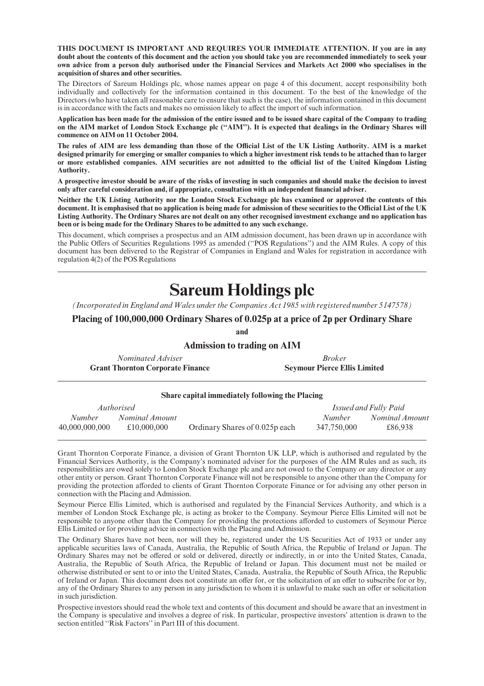THIS DOCUMENT IS IMPORTANT AND REQUIRES YOUR IMMEDIATE ATTENTION. If you are in any doubt about the contents of this document and the action you should take you are recommended immediately to seek your own advice from a person duly authorised under the Financial Services and Markets Act 2000 who specialises in the acquisition of shares and other securities.

The Directors of Sareum Holdings plc, whose names appear on page 4 of this document, accept responsibility both individually and collectively for the information contained in this document. To the best of the knowledge of the Directors (who have taken all reasonable care to ensure that such is the case), the information contained in this document is in accordance with the facts and makes no omission likely to affect the import of such information.

Application has been made for the admission of the entire issued and to be issued share capital of the Company to trading on the AIM market of London Stock Exchange plc (''AIM''). It is expected that dealings in the Ordinary Shares will commence on AIM on 11 October 2004.

The rules of AIM are less demanding than those of the Official List of the UK Listing Authority. AIM is a market designed primarily for emerging or smaller companies to which a higher investment risk tends to be attached than to larger or more established companies. AIM securities are not admitted to the official list of the United Kingdom Listing Authority.

A prospective investor should be aware of the risks of investing in such companies and should make the decision to invest only after careful consideration and, if appropriate, consultation with an independent financial adviser.

Neither the UK Listing Authority nor the London Stock Exchange plc has examined or approved the contents of this document. It is emphasised that no application is being made for admission of these securities to the Official List of the UK Listing Authority. The Ordinary Shares are not dealt on any other recognised investment exchange and no application has been or is being made for the Ordinary Shares to be admitted to any such exchange.

This document, which comprises a prospectus and an AIM admission document, has been drawn up in accordance with the Public Offers of Securities Regulations 1995 as amended ("POS Regulations") and the AIM Rules. A copy of this document has been delivered to the Registrar of Companies in England and Wales for registration in accordance with regulation 4(2) of the POS Regulations

# Sareum Holdings plc

(Incorporated in England and Wales under the Companies Act 1985 with registered number 5147578)

Placing of 100,000,000 Ordinary Shares of 0.025p at a price of 2p per Ordinary Share

and

# Admission to trading on AIM

| Nominated Adviser                       | <i>Broker</i>                       |
|-----------------------------------------|-------------------------------------|
| <b>Grant Thornton Corporate Finance</b> | <b>Seymour Pierce Ellis Limited</b> |

#### Share capital immediately following the Placing

|                | Authorised     |                                |               | Issued and Fully Paid |
|----------------|----------------|--------------------------------|---------------|-----------------------|
| Number         | Nominal Amount |                                | <i>Number</i> | Nominal Amount        |
| 40,000,000,000 | £10,000,000    | Ordinary Shares of 0.025p each | 347,750,000   | £86.938               |

Grant Thornton Corporate Finance, a division of Grant Thornton UK LLP, which is authorised and regulated by the Financial Services Authority, is the Company's nominated adviser for the purposes of the AIM Rules and as such, its responsibilities are owed solely to London Stock Exchange plc and are not owed to the Company or any director or any other entity or person. Grant Thornton Corporate Finance will not be responsible to anyone other than the Company for providing the protection afforded to clients of Grant Thornton Corporate Finance or for advising any other person in connection with the Placing and Admission.

Seymour Pierce Ellis Limited, which is authorised and regulated by the Financial Services Authority, and which is a member of London Stock Exchange plc, is acting as broker to the Company. Seymour Pierce Ellis Limited will not be responsible to anyone other than the Company for providing the protections afforded to customers of Seymour Pierce Ellis Limited or for providing advice in connection with the Placing and Admission.

The Ordinary Shares have not been, nor will they be, registered under the US Securities Act of 1933 or under any applicable securities laws of Canada, Australia, the Republic of South Africa, the Republic of Ireland or Japan. The Ordinary Shares may not be offered or sold or delivered, directly or indirectly, in or into the United States, Canada, Australia, the Republic of South Africa, the Republic of Ireland or Japan. This document must not be mailed or otherwise distributed or sent to or into the United States, Canada, Australia, the Republic of South Africa, the Republic of Ireland or Japan. This document does not constitute an offer for, or the solicitation of an offer to subscribe for or by, any of the Ordinary Shares to any person in any jurisdiction to whom it is unlawful to make such an offer or solicitation in such jurisdiction.

Prospective investors should read the whole text and contents of this document and should be aware that an investment in the Company is speculative and involves a degree of risk. In particular, prospective investors' attention is drawn to the section entitled ''Risk Factors'' in Part III of this document.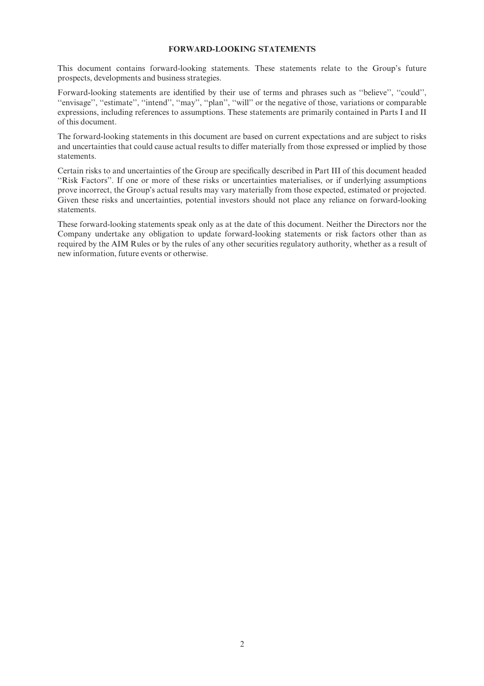# FORWARD-LOOKING STATEMENTS

This document contains forward-looking statements. These statements relate to the Group's future prospects, developments and business strategies.

Forward-looking statements are identified by their use of terms and phrases such as "believe", "could", "envisage", "estimate", "intend", "may", "plan", "will" or the negative of those, variations or comparable expressions, including references to assumptions. These statements are primarily contained in Parts I and II of this document.

The forward-looking statements in this document are based on current expectations and are subject to risks and uncertainties that could cause actual results to differ materially from those expressed or implied by those statements.

Certain risks to and uncertainties of the Group are specifically described in Part III of this document headed ''Risk Factors''. If one or more of these risks or uncertainties materialises, or if underlying assumptions prove incorrect, the Group's actual results may vary materially from those expected, estimated or projected. Given these risks and uncertainties, potential investors should not place any reliance on forward-looking statements.

These forward-looking statements speak only as at the date of this document. Neither the Directors nor the Company undertake any obligation to update forward-looking statements or risk factors other than as required by the AIM Rules or by the rules of any other securities regulatory authority, whether as a result of new information, future events or otherwise.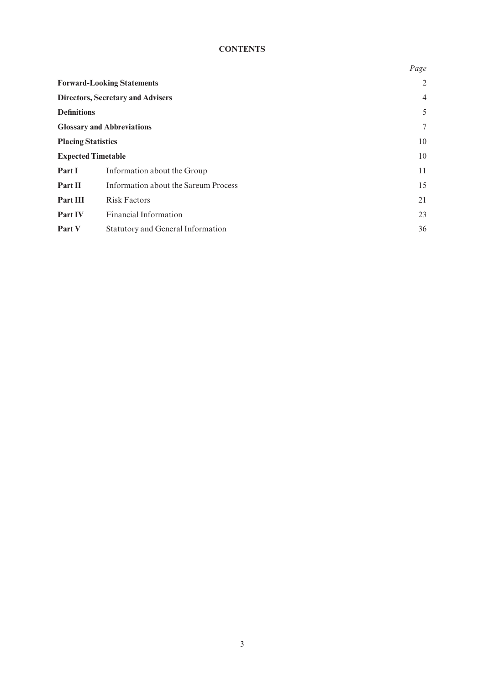# **CONTENTS**

| Page           |
|----------------|
| $\overline{2}$ |
| $\overline{4}$ |
| 5              |
| 7              |
| 10             |
| 10             |
| 11             |
| 15             |
| 21             |
| 23             |
| 36             |
|                |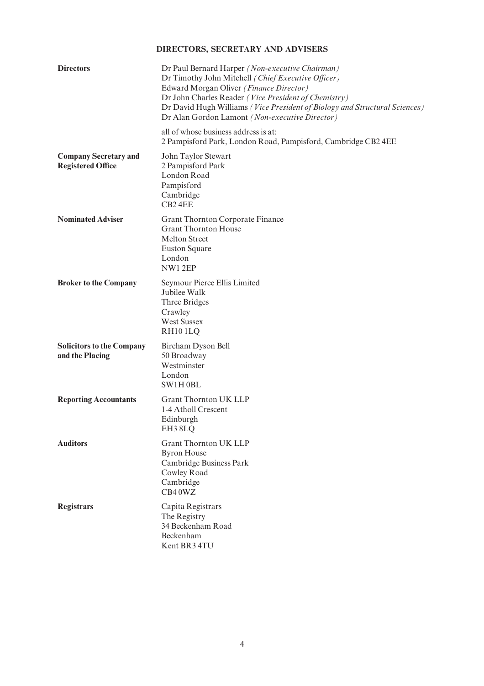# DIRECTORS, SECRETARY AND ADVISERS

| <b>Directors</b>                                         | Dr Paul Bernard Harper (Non-executive Chairman)<br>Dr Timothy John Mitchell (Chief Executive Officer)<br>Edward Morgan Oliver (Finance Director)<br>Dr John Charles Reader (Vice President of Chemistry)<br>Dr David Hugh Williams (Vice President of Biology and Structural Sciences)<br>Dr Alan Gordon Lamont (Non-executive Director) |
|----------------------------------------------------------|------------------------------------------------------------------------------------------------------------------------------------------------------------------------------------------------------------------------------------------------------------------------------------------------------------------------------------------|
|                                                          | all of whose business address is at:<br>2 Pampisford Park, London Road, Pampisford, Cambridge CB2 4EE                                                                                                                                                                                                                                    |
| <b>Company Secretary and</b><br><b>Registered Office</b> | John Taylor Stewart<br>2 Pampisford Park<br>London Road<br>Pampisford<br>Cambridge<br>CB <sub>2</sub> 4EE                                                                                                                                                                                                                                |
| <b>Nominated Adviser</b>                                 | Grant Thornton Corporate Finance<br><b>Grant Thornton House</b><br><b>Melton Street</b><br><b>Euston Square</b><br>London<br>NW12EP                                                                                                                                                                                                      |
| <b>Broker to the Company</b>                             | Seymour Pierce Ellis Limited<br>Jubilee Walk<br>Three Bridges<br>Crawley<br><b>West Sussex</b><br>RH <sub>10</sub> 1LQ                                                                                                                                                                                                                   |
| <b>Solicitors to the Company</b><br>and the Placing      | Bircham Dyson Bell<br>50 Broadway<br>Westminster<br>London<br>SW1H0BL                                                                                                                                                                                                                                                                    |
| <b>Reporting Accountants</b>                             | <b>Grant Thornton UK LLP</b><br>1-4 Atholl Crescent<br>Edinburgh<br>EH3 8LQ                                                                                                                                                                                                                                                              |
| <b>Auditors</b>                                          | <b>Grant Thornton UK LLP</b><br><b>Byron House</b><br>Cambridge Business Park<br>Cowley Road<br>Cambridge<br>CB40WZ                                                                                                                                                                                                                      |
| <b>Registrars</b>                                        | Capita Registrars<br>The Registry<br>34 Beckenham Road<br>Beckenham<br>Kent BR3 4TU                                                                                                                                                                                                                                                      |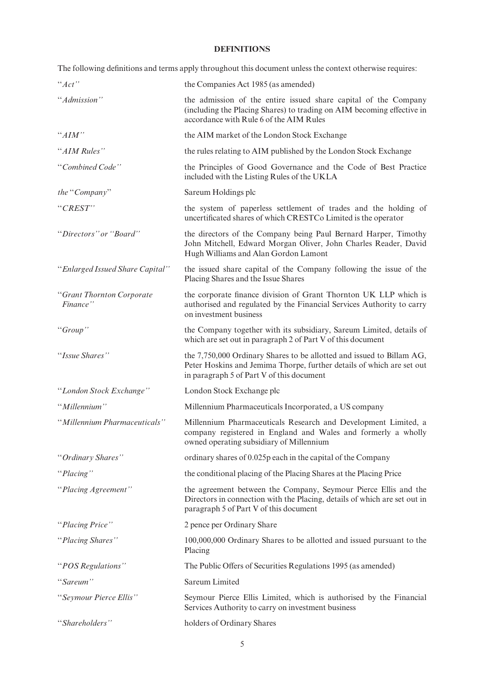# DEFINITIONS

|                                       | The following definitions and terms apply throughout this document unless the context otherwise requires:                                                                                   |
|---------------------------------------|---------------------------------------------------------------------------------------------------------------------------------------------------------------------------------------------|
| ``Act"                                | the Companies Act 1985 (as amended)                                                                                                                                                         |
| "Admission"                           | the admission of the entire issued share capital of the Company<br>(including the Placing Shares) to trading on AIM becoming effective in<br>accordance with Rule 6 of the AIM Rules        |
| ``AIM"                                | the AIM market of the London Stock Exchange                                                                                                                                                 |
| "AIM Rules"                           | the rules relating to AIM published by the London Stock Exchange                                                                                                                            |
| "Combined Code"                       | the Principles of Good Governance and the Code of Best Practice<br>included with the Listing Rules of the UKLA                                                                              |
| the "Company"                         | Sareum Holdings plc                                                                                                                                                                         |
| "CREST"                               | the system of paperless settlement of trades and the holding of<br>uncertificated shares of which CRESTCo Limited is the operator                                                           |
| "Directors" or "Board"                | the directors of the Company being Paul Bernard Harper, Timothy<br>John Mitchell, Edward Morgan Oliver, John Charles Reader, David<br>Hugh Williams and Alan Gordon Lamont                  |
| "Enlarged Issued Share Capital"       | the issued share capital of the Company following the issue of the<br>Placing Shares and the Issue Shares                                                                                   |
| "Grant Thornton Corporate<br>Finance" | the corporate finance division of Grant Thornton UK LLP which is<br>authorised and regulated by the Financial Services Authority to carry<br>on investment business                         |
| "Group"                               | the Company together with its subsidiary, Sareum Limited, details of<br>which are set out in paragraph 2 of Part V of this document                                                         |
| "Issue Shares"                        | the 7,750,000 Ordinary Shares to be allotted and issued to Billam AG,<br>Peter Hoskins and Jemima Thorpe, further details of which are set out<br>in paragraph 5 of Part V of this document |
| "London Stock Exchange"               | London Stock Exchange plc                                                                                                                                                                   |
| "Millennium"                          | Millennium Pharmaceuticals Incorporated, a US company                                                                                                                                       |
| "Millennium Pharmaceuticals"          | Millennium Pharmaceuticals Research and Development Limited, a<br>company registered in England and Wales and formerly a wholly<br>owned operating subsidiary of Millennium                 |
| "Ordinary Shares"                     | ordinary shares of 0.025p each in the capital of the Company                                                                                                                                |
| "Placing"                             | the conditional placing of the Placing Shares at the Placing Price                                                                                                                          |
| "Placing Agreement"                   | the agreement between the Company, Seymour Pierce Ellis and the<br>Directors in connection with the Placing, details of which are set out in<br>paragraph 5 of Part V of this document      |
| "Placing Price"                       | 2 pence per Ordinary Share                                                                                                                                                                  |
| "Placing Shares"                      | 100,000,000 Ordinary Shares to be allotted and issued pursuant to the<br>Placing                                                                                                            |
| "POS Regulations"                     | The Public Offers of Securities Regulations 1995 (as amended)                                                                                                                               |
| "Sareum"                              | Sareum Limited                                                                                                                                                                              |
| "Seymour Pierce Ellis"                | Seymour Pierce Ellis Limited, which is authorised by the Financial<br>Services Authority to carry on investment business                                                                    |
| "Shareholders"                        | holders of Ordinary Shares                                                                                                                                                                  |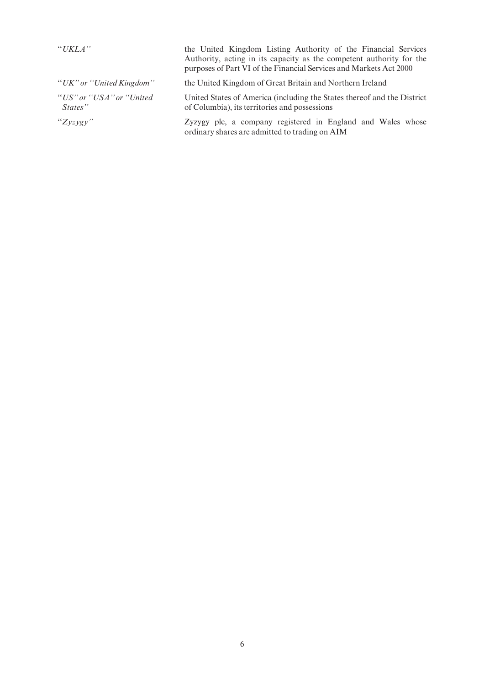| "UKLA"                               | the United Kingdom Listing Authority of the Financial Services<br>Authority, acting in its capacity as the competent authority for the<br>purposes of Part VI of the Financial Services and Markets Act 2000 |  |
|--------------------------------------|--------------------------------------------------------------------------------------------------------------------------------------------------------------------------------------------------------------|--|
| "UK" or "United Kingdom"             | the United Kingdom of Great Britain and Northern Ireland                                                                                                                                                     |  |
| "US" or "USA" or "United"<br>States" | United States of America (including the States thereof and the District<br>of Columbia), its territories and possessions                                                                                     |  |
| " $Zyzygy"$                          | Zyzygy plc, a company registered in England and Wales whose<br>ordinary shares are admitted to trading on AIM                                                                                                |  |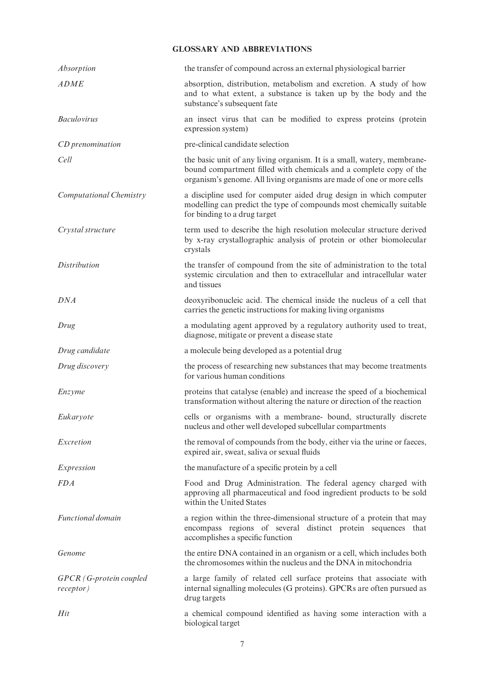# GLOSSARY AND ABBREVIATIONS

| Absorption                           | the transfer of compound across an external physiological barrier                                                                                                                                                      |
|--------------------------------------|------------------------------------------------------------------------------------------------------------------------------------------------------------------------------------------------------------------------|
| <b>ADME</b>                          | absorption, distribution, metabolism and excretion. A study of how<br>and to what extent, a substance is taken up by the body and the<br>substance's subsequent fate                                                   |
| <b>Baculovirus</b>                   | an insect virus that can be modified to express proteins (protein<br>expression system)                                                                                                                                |
| CD prenomination                     | pre-clinical candidate selection                                                                                                                                                                                       |
| Cell                                 | the basic unit of any living organism. It is a small, watery, membrane-<br>bound compartment filled with chemicals and a complete copy of the<br>organism's genome. All living organisms are made of one or more cells |
| Computational Chemistry              | a discipline used for computer aided drug design in which computer<br>modelling can predict the type of compounds most chemically suitable<br>for binding to a drug target                                             |
| Crystal structure                    | term used to describe the high resolution molecular structure derived<br>by x-ray crystallographic analysis of protein or other biomolecular<br>crystals                                                               |
| <i>Distribution</i>                  | the transfer of compound from the site of administration to the total<br>systemic circulation and then to extracellular and intracellular water<br>and tissues                                                         |
| <b>DNA</b>                           | deoxyribonucleic acid. The chemical inside the nucleus of a cell that<br>carries the genetic instructions for making living organisms                                                                                  |
| Drug                                 | a modulating agent approved by a regulatory authority used to treat,<br>diagnose, mitigate or prevent a disease state                                                                                                  |
| Drug candidate                       | a molecule being developed as a potential drug                                                                                                                                                                         |
| Drug discovery                       | the process of researching new substances that may become treatments<br>for various human conditions                                                                                                                   |
| Enzyme                               | proteins that catalyse (enable) and increase the speed of a biochemical<br>transformation without altering the nature or direction of the reaction                                                                     |
| Eukaryote                            | cells or organisms with a membrane- bound, structurally discrete<br>nucleus and other well developed subcellular compartments                                                                                          |
| Excretion                            | the removal of compounds from the body, either via the urine or faeces,<br>expired air, sweat, saliva or sexual fluids                                                                                                 |
| Expression                           | the manufacture of a specific protein by a cell                                                                                                                                                                        |
| <i>FDA</i>                           | Food and Drug Administration. The federal agency charged with<br>approving all pharmaceutical and food ingredient products to be sold<br>within the United States                                                      |
| <b>Functional domain</b>             | a region within the three-dimensional structure of a protein that may<br>encompass regions of several distinct protein sequences that<br>accomplishes a specific function                                              |
| Genome                               | the entire DNA contained in an organism or a cell, which includes both<br>the chromosomes within the nucleus and the DNA in mitochondria                                                                               |
| GPCR (G-protein coupled<br>receptor) | a large family of related cell surface proteins that associate with<br>internal signalling molecules (G proteins). GPCRs are often pursued as<br>drug targets                                                          |
| Hit                                  |                                                                                                                                                                                                                        |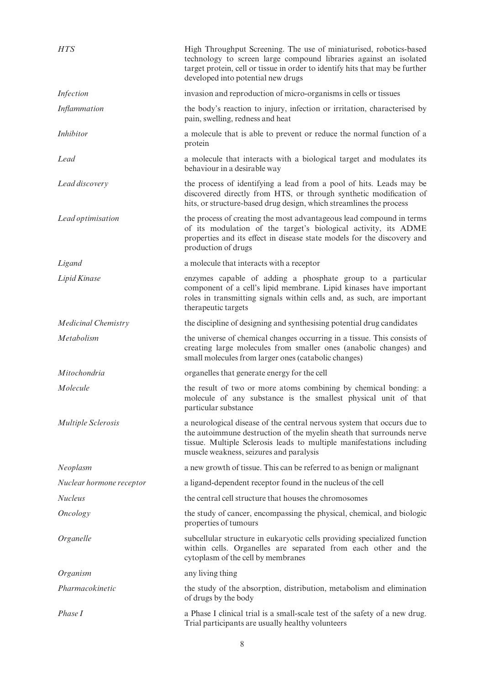| <b>HTS</b>                 | High Throughput Screening. The use of miniaturised, robotics-based<br>technology to screen large compound libraries against an isolated<br>target protein, cell or tissue in order to identify hits that may be further<br>developed into potential new drugs       |
|----------------------------|---------------------------------------------------------------------------------------------------------------------------------------------------------------------------------------------------------------------------------------------------------------------|
| Infection                  | invasion and reproduction of micro-organisms in cells or tissues                                                                                                                                                                                                    |
| <b>Inflammation</b>        | the body's reaction to injury, infection or irritation, characterised by<br>pain, swelling, redness and heat                                                                                                                                                        |
| <b>Inhibitor</b>           | a molecule that is able to prevent or reduce the normal function of a<br>protein                                                                                                                                                                                    |
| Lead                       | a molecule that interacts with a biological target and modulates its<br>behaviour in a desirable way                                                                                                                                                                |
| Lead discovery             | the process of identifying a lead from a pool of hits. Leads may be<br>discovered directly from HTS, or through synthetic modification of<br>hits, or structure-based drug design, which streamlines the process                                                    |
| Lead optimisation          | the process of creating the most advantageous lead compound in terms<br>of its modulation of the target's biological activity, its ADME<br>properties and its effect in disease state models for the discovery and<br>production of drugs                           |
| Ligand                     | a molecule that interacts with a receptor                                                                                                                                                                                                                           |
| Lipid Kinase               | enzymes capable of adding a phosphate group to a particular<br>component of a cell's lipid membrane. Lipid kinases have important<br>roles in transmitting signals within cells and, as such, are important<br>therapeutic targets                                  |
| <b>Medicinal Chemistry</b> | the discipline of designing and synthesising potential drug candidates                                                                                                                                                                                              |
| Metabolism                 | the universe of chemical changes occurring in a tissue. This consists of<br>creating large molecules from smaller ones (anabolic changes) and<br>small molecules from larger ones (catabolic changes)                                                               |
| Mitochondria               | organelles that generate energy for the cell                                                                                                                                                                                                                        |
| Molecule                   | the result of two or more atoms combining by chemical bonding: a<br>molecule of any substance is the smallest physical unit of that<br>particular substance                                                                                                         |
| <b>Multiple Sclerosis</b>  | a neurological disease of the central nervous system that occurs due to<br>the autoimmune destruction of the myelin sheath that surrounds nerve<br>tissue. Multiple Sclerosis leads to multiple manifestations including<br>muscle weakness, seizures and paralysis |
| Neoplasm                   | a new growth of tissue. This can be referred to as benign or malignant                                                                                                                                                                                              |
| Nuclear hormone receptor   | a ligand-dependent receptor found in the nucleus of the cell                                                                                                                                                                                                        |
| <b>Nucleus</b>             | the central cell structure that houses the chromosomes                                                                                                                                                                                                              |
| <b>Oncology</b>            | the study of cancer, encompassing the physical, chemical, and biologic<br>properties of tumours                                                                                                                                                                     |
| Organelle                  | subcellular structure in eukaryotic cells providing specialized function<br>within cells. Organelles are separated from each other and the<br>cytoplasm of the cell by membranes                                                                                    |
| Organism                   | any living thing                                                                                                                                                                                                                                                    |
| Pharmacokinetic            | the study of the absorption, distribution, metabolism and elimination<br>of drugs by the body                                                                                                                                                                       |
| Phase I                    | a Phase I clinical trial is a small-scale test of the safety of a new drug.<br>Trial participants are usually healthy volunteers                                                                                                                                    |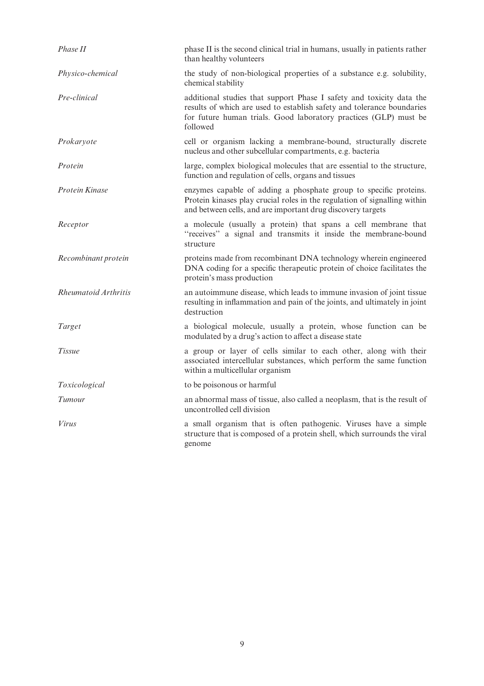| Phase II             | phase II is the second clinical trial in humans, usually in patients rather<br>than healthy volunteers                                                                                                                         |
|----------------------|--------------------------------------------------------------------------------------------------------------------------------------------------------------------------------------------------------------------------------|
| Physico-chemical     | the study of non-biological properties of a substance e.g. solubility,<br>chemical stability                                                                                                                                   |
| Pre-clinical         | additional studies that support Phase I safety and toxicity data the<br>results of which are used to establish safety and tolerance boundaries<br>for future human trials. Good laboratory practices (GLP) must be<br>followed |
| Prokaryote           | cell or organism lacking a membrane-bound, structurally discrete<br>nucleus and other subcellular compartments, e.g. bacteria                                                                                                  |
| Protein              | large, complex biological molecules that are essential to the structure,<br>function and regulation of cells, organs and tissues                                                                                               |
| Protein Kinase       | enzymes capable of adding a phosphate group to specific proteins.<br>Protein kinases play crucial roles in the regulation of signalling within<br>and between cells, and are important drug discovery targets                  |
| Receptor             | a molecule (usually a protein) that spans a cell membrane that<br>"receives" a signal and transmits it inside the membrane-bound<br>structure                                                                                  |
| Recombinant protein  | proteins made from recombinant DNA technology wherein engineered<br>DNA coding for a specific therapeutic protein of choice facilitates the<br>protein's mass production                                                       |
| Rheumatoid Arthritis | an autoimmune disease, which leads to immune invasion of joint tissue<br>resulting in inflammation and pain of the joints, and ultimately in joint<br>destruction                                                              |
| Target               | a biological molecule, usually a protein, whose function can be<br>modulated by a drug's action to affect a disease state                                                                                                      |
| Tissue               | a group or layer of cells similar to each other, along with their<br>associated intercellular substances, which perform the same function<br>within a multicellular organism                                                   |
| Toxicological        | to be poisonous or harmful                                                                                                                                                                                                     |
| Tumour               | an abnormal mass of tissue, also called a neoplasm, that is the result of<br>uncontrolled cell division                                                                                                                        |
| Virus                | a small organism that is often pathogenic. Viruses have a simple<br>structure that is composed of a protein shell, which surrounds the viral<br>genome                                                                         |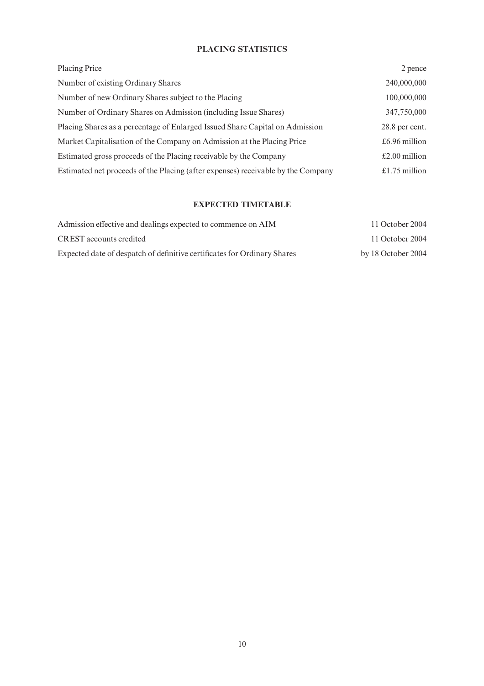# PLACING STATISTICS

| Placing Price                                                                    | 2 pence        |
|----------------------------------------------------------------------------------|----------------|
| Number of existing Ordinary Shares                                               | 240,000,000    |
| Number of new Ordinary Shares subject to the Placing                             | 100,000,000    |
| Number of Ordinary Shares on Admission (including Issue Shares)                  | 347,750,000    |
| Placing Shares as a percentage of Enlarged Issued Share Capital on Admission     | 28.8 per cent. |
| Market Capitalisation of the Company on Admission at the Placing Price           | £6.96 million  |
| Estimated gross proceeds of the Placing receivable by the Company                | £2.00 million  |
| Estimated net proceeds of the Placing (after expenses) receivable by the Company | £1.75 million  |

# EXPECTED TIMETABLE

| Admission effective and dealings expected to commence on AIM             | 11 October 2004    |  |
|--------------------------------------------------------------------------|--------------------|--|
| CREST accounts credited                                                  | 11 October 2004    |  |
| Expected date of despatch of definitive certificates for Ordinary Shares | by 18 October 2004 |  |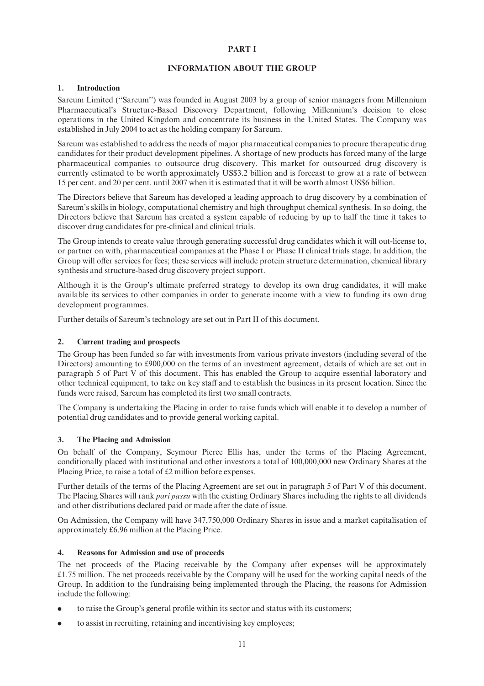# PART I

## INFORMATION ABOUT THE GROUP

## 1. Introduction

Sareum Limited (''Sareum'') was founded in August 2003 by a group of senior managers from Millennium Pharmaceutical's Structure-Based Discovery Department, following Millennium's decision to close operations in the United Kingdom and concentrate its business in the United States. The Company was established in July 2004 to act as the holding company for Sareum.

Sareum was established to address the needs of major pharmaceutical companies to procure therapeutic drug candidates for their product development pipelines. A shortage of new products has forced many of the large pharmaceutical companies to outsource drug discovery. This market for outsourced drug discovery is currently estimated to be worth approximately US\$3.2 billion and is forecast to grow at a rate of between 15 per cent. and 20 per cent. until 2007 when it is estimated that it will be worth almost US\$6 billion.

The Directors believe that Sareum has developed a leading approach to drug discovery by a combination of Sareum's skills in biology, computational chemistry and high throughput chemical synthesis. In so doing, the Directors believe that Sareum has created a system capable of reducing by up to half the time it takes to discover drug candidates for pre-clinical and clinical trials.

The Group intends to create value through generating successful drug candidates which it will out-license to, or partner on with, pharmaceutical companies at the Phase I or Phase II clinical trials stage. In addition, the Group will offer services for fees; these services will include protein structure determination, chemical library synthesis and structure-based drug discovery project support.

Although it is the Group's ultimate preferred strategy to develop its own drug candidates, it will make available its services to other companies in order to generate income with a view to funding its own drug development programmes.

Further details of Sareum's technology are set out in Part II of this document.

# 2. Current trading and prospects

The Group has been funded so far with investments from various private investors (including several of the Directors) amounting to  $\text{\pounds}900,000$  on the terms of an investment agreement, details of which are set out in paragraph 5 of Part V of this document. This has enabled the Group to acquire essential laboratory and other technical equipment, to take on key staff and to establish the business in its present location. Since the funds were raised, Sareum has completed its first two small contracts.

The Company is undertaking the Placing in order to raise funds which will enable it to develop a number of potential drug candidates and to provide general working capital.

# 3. The Placing and Admission

On behalf of the Company, Seymour Pierce Ellis has, under the terms of the Placing Agreement, conditionally placed with institutional and other investors a total of 100,000,000 new Ordinary Shares at the Placing Price, to raise a total of  $£2$  million before expenses.

Further details of the terms of the Placing Agreement are set out in paragraph 5 of Part V of this document. The Placing Shares will rank pari passu with the existing Ordinary Shares including the rights to all dividends and other distributions declared paid or made after the date of issue.

On Admission, the Company will have 347,750,000 Ordinary Shares in issue and a market capitalisation of approximately  $£6.96$  million at the Placing Price.

#### 4. Reasons for Admission and use of proceeds

The net proceeds of the Placing receivable by the Company after expenses will be approximately »1.75 million. The net proceeds receivable by the Company will be used for the working capital needs of the Group. In addition to the fundraising being implemented through the Placing, the reasons for Admission include the following:

- to raise the Group's general profile within its sector and status with its customers;
- . to assist in recruiting, retaining and incentivising key employees;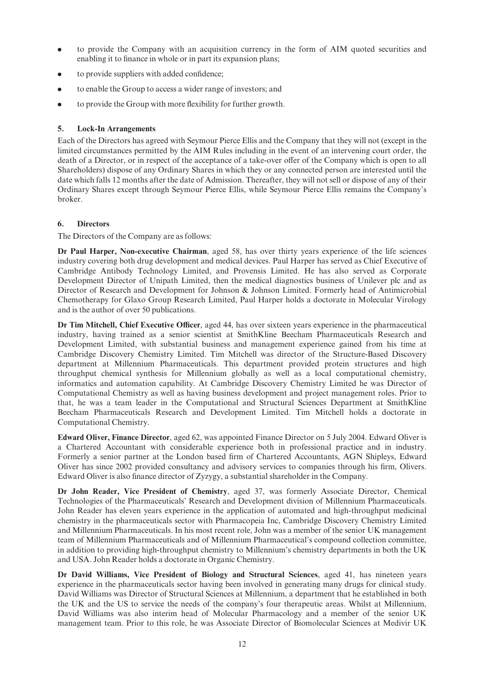- . to provide the Company with an acquisition currency in the form of AIM quoted securities and enabling it to finance in whole or in part its expansion plans;
- to provide suppliers with added confidence;
- . to enable the Group to access a wider range of investors; and
- $\bullet$  to provide the Group with more flexibility for further growth.

# 5. Lock-In Arrangements

Each of the Directors has agreed with Seymour Pierce Ellis and the Company that they will not (except in the limited circumstances permitted by the AIM Rules including in the event of an intervening court order, the death of a Director, or in respect of the acceptance of a take-over offer of the Company which is open to all Shareholders) dispose of any Ordinary Shares in which they or any connected person are interested until the date which falls 12 months after the date of Admission. Thereafter, they will not sell or dispose of any of their Ordinary Shares except through Seymour Pierce Ellis, while Seymour Pierce Ellis remains the Company's broker.

# 6. Directors

The Directors of the Company are as follows:

Dr Paul Harper, Non-executive Chairman, aged 58, has over thirty years experience of the life sciences industry covering both drug development and medical devices. Paul Harper has served as Chief Executive of Cambridge Antibody Technology Limited, and Provensis Limited. He has also served as Corporate Development Director of Unipath Limited, then the medical diagnostics business of Unilever plc and as Director of Research and Development for Johnson & Johnson Limited. Formerly head of Antimicrobial Chemotherapy for Glaxo Group Research Limited, Paul Harper holds a doctorate in Molecular Virology and is the author of over 50 publications.

Dr Tim Mitchell, Chief Executive Officer, aged 44, has over sixteen years experience in the pharmaceutical industry, having trained as a senior scientist at SmithKline Beecham Pharmaceuticals Research and Development Limited, with substantial business and management experience gained from his time at Cambridge Discovery Chemistry Limited. Tim Mitchell was director of the Structure-Based Discovery department at Millennium Pharmaceuticals. This department provided protein structures and high throughput chemical synthesis for Millennium globally as well as a local computational chemistry, informatics and automation capability. At Cambridge Discovery Chemistry Limited he was Director of Computational Chemistry as well as having business development and project management roles. Prior to that, he was a team leader in the Computational and Structural Sciences Department at SmithKline Beecham Pharmaceuticals Research and Development Limited. Tim Mitchell holds a doctorate in Computational Chemistry.

Edward Oliver, Finance Director, aged 62, was appointed Finance Director on 5 July 2004. Edward Oliver is a Chartered Accountant with considerable experience both in professional practice and in industry. Formerly a senior partner at the London based firm of Chartered Accountants, AGN Shipleys, Edward Oliver has since 2002 provided consultancy and advisory services to companies through his firm, Olivers. Edward Oliver is also finance director of Zyzygy, a substantial shareholder in the Company.

Dr John Reader, Vice President of Chemistry, aged 37, was formerly Associate Director, Chemical Technologies of the Pharmaceuticals' Research and Development division of Millennium Pharmaceuticals. John Reader has eleven years experience in the application of automated and high-throughput medicinal chemistry in the pharmaceuticals sector with Pharmacopeia Inc, Cambridge Discovery Chemistry Limited and Millennium Pharmaceuticals. In his most recent role, John was a member of the senior UK management team of Millennium Pharmaceuticals and of Millennium Pharmaceutical's compound collection committee, in addition to providing high-throughput chemistry to Millennium's chemistry departments in both the UK and USA. John Reader holds a doctorate in Organic Chemistry.

Dr David Williams, Vice President of Biology and Structural Sciences, aged 41, has nineteen years experience in the pharmaceuticals sector having been involved in generating many drugs for clinical study. David Williams was Director of Structural Sciences at Millennium, a department that he established in both the UK and the US to service the needs of the company's four therapeutic areas. Whilst at Millennium, David Williams was also interim head of Molecular Pharmacology and a member of the senior UK management team. Prior to this role, he was Associate Director of Biomolecular Sciences at Medivir UK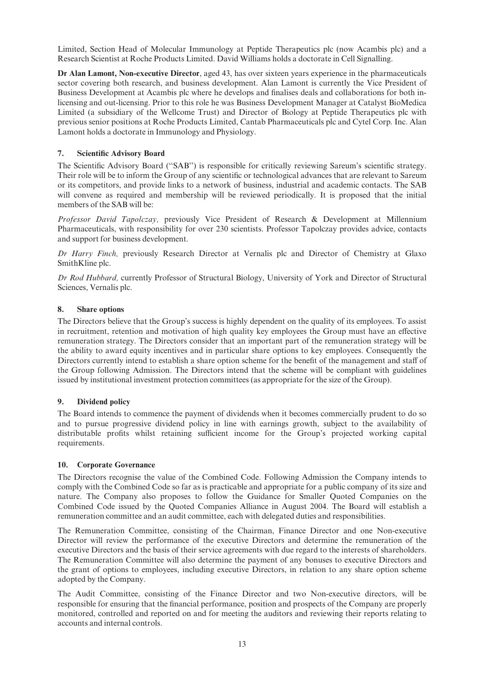Limited, Section Head of Molecular Immunology at Peptide Therapeutics plc (now Acambis plc) and a Research Scientist at Roche Products Limited. David Williams holds a doctorate in Cell Signalling.

Dr Alan Lamont, Non-executive Director, aged 43, has over sixteen years experience in the pharmaceuticals sector covering both research, and business development. Alan Lamont is currently the Vice President of Business Development at Acambis plc where he develops and finalises deals and collaborations for both inlicensing and out-licensing. Prior to this role he was Business Development Manager at Catalyst BioMedica Limited (a subsidiary of the Wellcome Trust) and Director of Biology at Peptide Therapeutics plc with previous senior positions at Roche Products Limited, Cantab Pharmaceuticals plc and Cytel Corp. Inc. Alan Lamont holds a doctorate in Immunology and Physiology.

# 7. Scientific Advisory Board

The Scientific Advisory Board ("SAB") is responsible for critically reviewing Sareum's scientific strategy. Their role will be to inform the Group of any scientific or technological advances that are relevant to Sareum or its competitors, and provide links to a network of business, industrial and academic contacts. The SAB will convene as required and membership will be reviewed periodically. It is proposed that the initial members of the SAB will be:

Professor David Tapolczay, previously Vice President of Research & Development at Millennium Pharmaceuticals, with responsibility for over 230 scientists. Professor Tapolczay provides advice, contacts and support for business development.

Dr Harry Finch, previously Research Director at Vernalis plc and Director of Chemistry at Glaxo SmithKline plc.

Dr Rod Hubbard, currently Professor of Structural Biology, University of York and Director of Structural Sciences, Vernalis plc.

#### 8. Share options

The Directors believe that the Group's success is highly dependent on the quality of its employees. To assist in recruitment, retention and motivation of high quality key employees the Group must have an effective remuneration strategy. The Directors consider that an important part of the remuneration strategy will be the ability to award equity incentives and in particular share options to key employees. Consequently the Directors currently intend to establish a share option scheme for the benefit of the management and staff of the Group following Admission. The Directors intend that the scheme will be compliant with guidelines issued by institutional investment protection committees (as appropriate for the size of the Group).

#### 9. Dividend policy

The Board intends to commence the payment of dividends when it becomes commercially prudent to do so and to pursue progressive dividend policy in line with earnings growth, subject to the availability of distributable profits whilst retaining sufficient income for the Group's projected working capital requirements.

#### 10. Corporate Governance

The Directors recognise the value of the Combined Code. Following Admission the Company intends to comply with the Combined Code so far as is practicable and appropriate for a public company of its size and nature. The Company also proposes to follow the Guidance for Smaller Quoted Companies on the Combined Code issued by the Quoted Companies Alliance in August 2004. The Board will establish a remuneration committee and an audit committee, each with delegated duties and responsibilities.

The Remuneration Committee, consisting of the Chairman, Finance Director and one Non-executive Director will review the performance of the executive Directors and determine the remuneration of the executive Directors and the basis of their service agreements with due regard to the interests of shareholders. The Remuneration Committee will also determine the payment of any bonuses to executive Directors and the grant of options to employees, including executive Directors, in relation to any share option scheme adopted by the Company.

The Audit Committee, consisting of the Finance Director and two Non-executive directors, will be responsible for ensuring that the financial performance, position and prospects of the Company are properly monitored, controlled and reported on and for meeting the auditors and reviewing their reports relating to accounts and internal controls.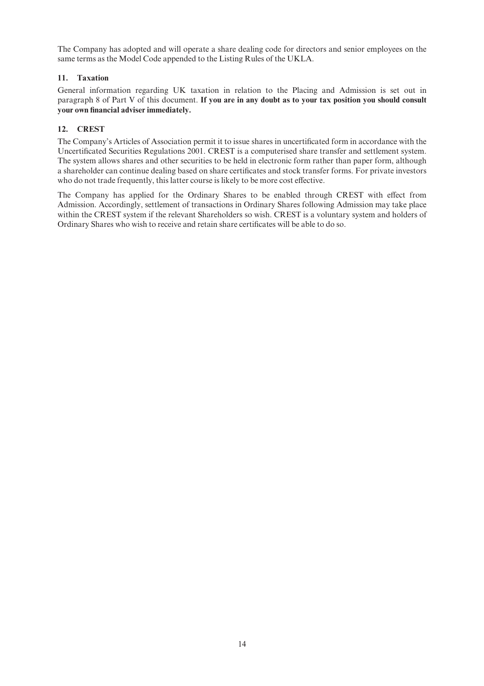The Company has adopted and will operate a share dealing code for directors and senior employees on the same terms as the Model Code appended to the Listing Rules of the UKLA.

# 11. Taxation

General information regarding UK taxation in relation to the Placing and Admission is set out in paragraph 8 of Part V of this document. If you are in any doubt as to your tax position you should consult your own financial adviser immediately.

# 12. CREST

The Company's Articles of Association permit it to issue shares in uncertificated form in accordance with the Uncertificated Securities Regulations 2001. CREST is a computerised share transfer and settlement system. The system allows shares and other securities to be held in electronic form rather than paper form, although a shareholder can continue dealing based on share certificates and stock transfer forms. For private investors who do not trade frequently, this latter course is likely to be more cost effective.

The Company has applied for the Ordinary Shares to be enabled through CREST with effect from Admission. Accordingly, settlement of transactions in Ordinary Shares following Admission may take place within the CREST system if the relevant Shareholders so wish. CREST is a voluntary system and holders of Ordinary Shares who wish to receive and retain share certificates will be able to do so.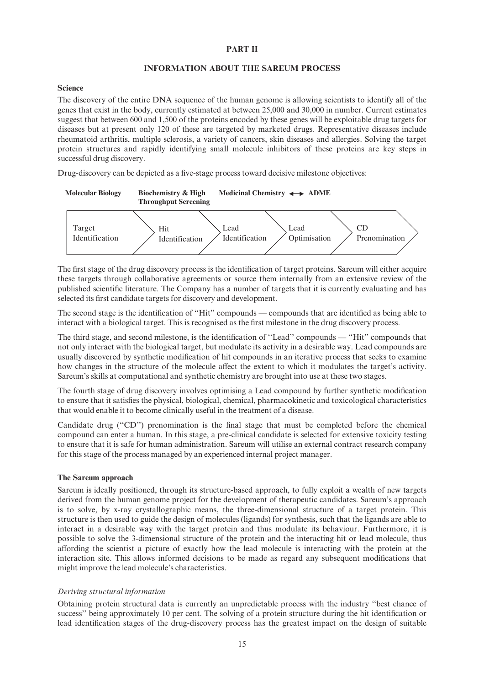# PART II

#### INFORMATION ABOUT THE SAREUM PROCESS

#### Science

The discovery of the entire DNA sequence of the human genome is allowing scientists to identify all of the genes that exist in the body, currently estimated at between 25,000 and 30,000 in number. Current estimates suggest that between 600 and 1,500 of the proteins encoded by these genes will be exploitable drug targets for diseases but at present only 120 of these are targeted by marketed drugs. Representative diseases include rheumatoid arthritis, multiple sclerosis, a variety of cancers, skin diseases and allergies. Solving the target protein structures and rapidly identifying small molecule inhibitors of these proteins are key steps in successful drug discovery.

Drug-discovery can be depicted as a five-stage process toward decisive milestone objectives:



The first stage of the drug discovery process is the identification of target proteins. Sareum will either acquire these targets through collaborative agreements or source them internally from an extensive review of the published scientific literature. The Company has a number of targets that it is currently evaluating and has selected its first candidate targets for discovery and development.

The second stage is the identification of "Hit" compounds — compounds that are identified as being able to interact with a biological target. This is recognised as the first milestone in the drug discovery process.

The third stage, and second milestone, is the identification of "Lead" compounds — "Hit" compounds that not only interact with the biological target, but modulate its activity in a desirable way. Lead compounds are usually discovered by synthetic modification of hit compounds in an iterative process that seeks to examine how changes in the structure of the molecule affect the extent to which it modulates the target's activity. Sareum's skills at computational and synthetic chemistry are brought into use at these two stages.

The fourth stage of drug discovery involves optimising a Lead compound by further synthetic modification to ensure that it satis¢es the physical, biological, chemical, pharmacokinetic and toxicological characteristics that would enable it to become clinically useful in the treatment of a disease.

Candidate drug ("CD") prenomination is the final stage that must be completed before the chemical compound can enter a human. In this stage, a pre-clinical candidate is selected for extensive toxicity testing to ensure that it is safe for human administration. Sareum will utilise an external contract research company for this stage of the process managed by an experienced internal project manager.

#### The Sareum approach

Sareum is ideally positioned, through its structure-based approach, to fully exploit a wealth of new targets derived from the human genome project for the development of therapeutic candidates. Sareum's approach is to solve, by x-ray crystallographic means, the three-dimensional structure of a target protein. This structure is then used to guide the design of molecules (ligands) for synthesis, such that the ligands are able to interact in a desirable way with the target protein and thus modulate its behaviour. Furthermore, it is possible to solve the 3-dimensional structure of the protein and the interacting hit or lead molecule, thus affording the scientist a picture of exactly how the lead molecule is interacting with the protein at the interaction site. This allows informed decisions to be made as regard any subsequent modifications that might improve the lead molecule's characteristics.

#### Deriving structural information

Obtaining protein structural data is currently an unpredictable process with the industry ''best chance of success'' being approximately 10 per cent. The solving of a protein structure during the hit identification or lead identification stages of the drug-discovery process has the greatest impact on the design of suitable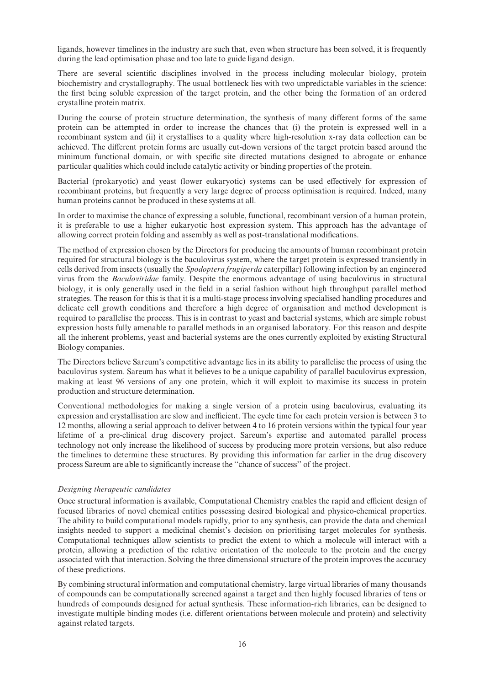ligands, however timelines in the industry are such that, even when structure has been solved, it is frequently during the lead optimisation phase and too late to guide ligand design.

There are several scientific disciplines involved in the process including molecular biology, protein biochemistry and crystallography. The usual bottleneck lies with two unpredictable variables in the science: the first being soluble expression of the target protein, and the other being the formation of an ordered crystalline protein matrix.

During the course of protein structure determination, the synthesis of many different forms of the same protein can be attempted in order to increase the chances that (i) the protein is expressed well in a recombinant system and (ii) it crystallises to a quality where high-resolution x-ray data collection can be achieved. The different protein forms are usually cut-down versions of the target protein based around the minimum functional domain, or with specific site directed mutations designed to abrogate or enhance particular qualities which could include catalytic activity or binding properties of the protein.

Bacterial (prokaryotic) and yeast (lower eukaryotic) systems can be used effectively for expression of recombinant proteins, but frequently a very large degree of process optimisation is required. Indeed, many human proteins cannot be produced in these systems at all.

In order to maximise the chance of expressing a soluble, functional, recombinant version of a human protein, it is preferable to use a higher eukaryotic host expression system. This approach has the advantage of allowing correct protein folding and assembly as well as post-translational modifications.

The method of expression chosen by the Directors for producing the amounts of human recombinant protein required for structural biology is the baculovirus system, where the target protein is expressed transiently in cells derived from insects (usually the Spodoptera frugiperda caterpillar) following infection by an engineered virus from the Baculoviridae family. Despite the enormous advantage of using baculovirus in structural biology, it is only generally used in the field in a serial fashion without high throughput parallel method strategies. The reason for this is that it is a multi-stage process involving specialised handling procedures and delicate cell growth conditions and therefore a high degree of organisation and method development is required to parallelise the process. This is in contrast to yeast and bacterial systems, which are simple robust expression hosts fully amenable to parallel methods in an organised laboratory. For this reason and despite all the inherent problems, yeast and bacterial systems are the ones currently exploited by existing Structural Biology companies.

The Directors believe Sareum's competitive advantage lies in its ability to parallelise the process of using the baculovirus system. Sareum has what it believes to be a unique capability of parallel baculovirus expression, making at least 96 versions of any one protein, which it will exploit to maximise its success in protein production and structure determination.

Conventional methodologies for making a single version of a protein using baculovirus, evaluating its expression and crystallisation are slow and inefficient. The cycle time for each protein version is between 3 to 12 months, allowing a serial approach to deliver between 4 to 16 protein versions within the typical four year lifetime of a pre-clinical drug discovery project. Sareum's expertise and automated parallel process technology not only increase the likelihood of success by producing more protein versions, but also reduce the timelines to determine these structures. By providing this information far earlier in the drug discovery process Sareum are able to significantly increase the "chance of success" of the project.

#### Designing therapeutic candidates

Once structural information is available, Computational Chemistry enables the rapid and efficient design of focused libraries of novel chemical entities possessing desired biological and physico-chemical properties. The ability to build computational models rapidly, prior to any synthesis, can provide the data and chemical insights needed to support a medicinal chemist's decision on prioritising target molecules for synthesis. Computational techniques allow scientists to predict the extent to which a molecule will interact with a protein, allowing a prediction of the relative orientation of the molecule to the protein and the energy associated with that interaction. Solving the three dimensional structure of the protein improves the accuracy of these predictions.

By combining structural information and computational chemistry, large virtual libraries of many thousands of compounds can be computationally screened against a target and then highly focused libraries of tens or hundreds of compounds designed for actual synthesis. These information-rich libraries, can be designed to investigate multiple binding modes (i.e. different orientations between molecule and protein) and selectivity against related targets.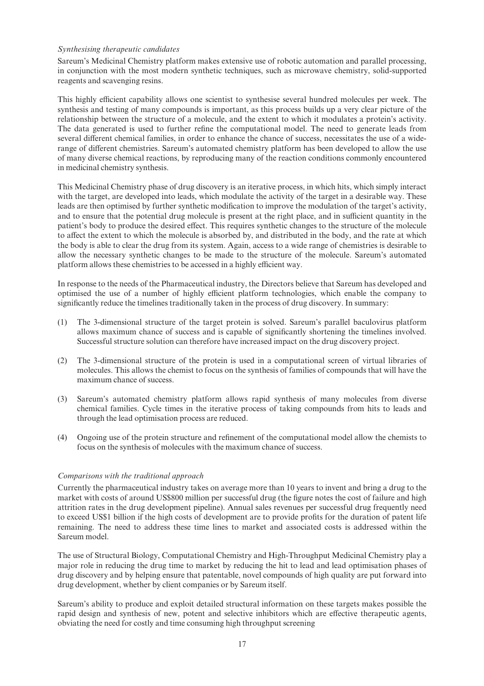## Synthesising therapeutic candidates

Sareum's Medicinal Chemistry platform makes extensive use of robotic automation and parallel processing, in conjunction with the most modern synthetic techniques, such as microwave chemistry, solid-supported reagents and scavenging resins.

This highly efficient capability allows one scientist to synthesise several hundred molecules per week. The synthesis and testing of many compounds is important, as this process builds up a very clear picture of the relationship between the structure of a molecule, and the extent to which it modulates a protein's activity. The data generated is used to further refine the computational model. The need to generate leads from several different chemical families, in order to enhance the chance of success, necessitates the use of a widerange of different chemistries. Sareum's automated chemistry platform has been developed to allow the use of many diverse chemical reactions, by reproducing many of the reaction conditions commonly encountered in medicinal chemistry synthesis.

This Medicinal Chemistry phase of drug discovery is an iterative process, in which hits, which simply interact with the target, are developed into leads, which modulate the activity of the target in a desirable way. These leads are then optimised by further synthetic modification to improve the modulation of the target's activity, and to ensure that the potential drug molecule is present at the right place, and in sufficient quantity in the patient's body to produce the desired effect. This requires synthetic changes to the structure of the molecule to affect the extent to which the molecule is absorbed by, and distributed in the body, and the rate at which the body is able to clear the drug from its system. Again, access to a wide range of chemistries is desirable to allow the necessary synthetic changes to be made to the structure of the molecule. Sareum's automated platform allows these chemistries to be accessed in a highly efficient way.

In response to the needs of the Pharmaceutical industry, the Directors believe that Sareum has developed and optimised the use of a number of highly efficient platform technologies, which enable the company to significantly reduce the timelines traditionally taken in the process of drug discovery. In summary:

- (1) The 3-dimensional structure of the target protein is solved. Sareum's parallel baculovirus platform allows maximum chance of success and is capable of significantly shortening the timelines involved. Successful structure solution can therefore have increased impact on the drug discovery project.
- (2) The 3-dimensional structure of the protein is used in a computational screen of virtual libraries of molecules. This allows the chemist to focus on the synthesis of families of compounds that will have the maximum chance of success.
- (3) Sareum's automated chemistry platform allows rapid synthesis of many molecules from diverse chemical families. Cycle times in the iterative process of taking compounds from hits to leads and through the lead optimisation process are reduced.
- (4) Ongoing use of the protein structure and re¢nement of the computational model allow the chemists to focus on the synthesis of molecules with the maximum chance of success.

#### Comparisons with the traditional approach

Currently the pharmaceutical industry takes on average more than 10 years to invent and bring a drug to the market with costs of around US\$800 million per successful drug (the figure notes the cost of failure and high attrition rates in the drug development pipeline). Annual sales revenues per successful drug frequently need to exceed US\$1 billion if the high costs of development are to provide profits for the duration of patent life remaining. The need to address these time lines to market and associated costs is addressed within the Sareum model.

The use of Structural Biology, Computational Chemistry and High-Throughput Medicinal Chemistry play a major role in reducing the drug time to market by reducing the hit to lead and lead optimisation phases of drug discovery and by helping ensure that patentable, novel compounds of high quality are put forward into drug development, whether by client companies or by Sareum itself.

Sareum's ability to produce and exploit detailed structural information on these targets makes possible the rapid design and synthesis of new, potent and selective inhibitors which are effective therapeutic agents, obviating the need for costly and time consuming high throughput screening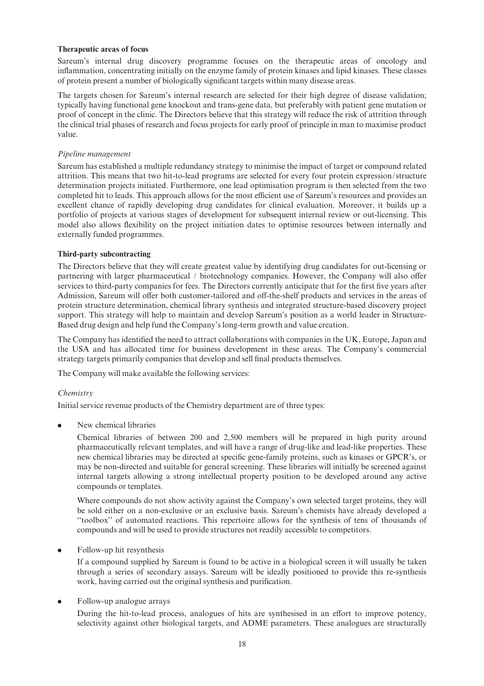#### Therapeutic areas of focus

Sareum's internal drug discovery programme focuses on the therapeutic areas of oncology and inflammation, concentrating initially on the enzyme family of protein kinases and lipid kinases. These classes of protein present a number of biologically significant targets within many disease areas.

The targets chosen for Sareum's internal research are selected for their high degree of disease validation; typically having functional gene knockout and trans-gene data, but preferably with patient gene mutation or proof of concept in the clinic. The Directors believe that this strategy will reduce the risk of attrition through the clinical trial phases of research and focus projects for early proof of principle in man to maximise product value.

#### Pipeline management

Sareum has established a multiple redundancy strategy to minimise the impact of target or compound related attrition. This means that two hit-to-lead programs are selected for every four protein expression/structure determination projects initiated. Furthermore, one lead optimisation program is then selected from the two completed hit to leads. This approach allows for the most efficient use of Sareum's resources and provides an excellent chance of rapidly developing drug candidates for clinical evaluation. Moreover, it builds up a portfolio of projects at various stages of development for subsequent internal review or out-licensing. This model also allows flexibility on the project initiation dates to optimise resources between internally and externally funded programmes.

#### Third-party subcontracting

The Directors believe that they will create greatest value by identifying drug candidates for out-licensing or partnering with larger pharmaceutical / biotechnology companies. However, the Company will also offer services to third-party companies for fees. The Directors currently anticipate that for the first five years after Admission, Sareum will offer both customer-tailored and off-the-shelf products and services in the areas of protein structure determination, chemical library synthesis and integrated structure-based discovery project support. This strategy will help to maintain and develop Sareum's position as a world leader in Structure-Based drug design and help fund the Company's long-term growth and value creation.

The Company has identified the need to attract collaborations with companies in the UK, Europe, Japan and the USA and has allocated time for business development in these areas. The Company's commercial strategy targets primarily companies that develop and sell final products themselves.

The Company will make available the following services:

#### Chemistry

Initial service revenue products of the Chemistry department are of three types:

. New chemical libraries

Chemical libraries of between 200 and 2,500 members will be prepared in high purity around pharmaceutically relevant templates, and will have a range of drug-like and lead-like properties. These new chemical libraries may be directed at specific gene-family proteins, such as kinases or GPCR's, or may be non-directed and suitable for general screening. These libraries will initially be screened against internal targets allowing a strong intellectual property position to be developed around any active compounds or templates.

Where compounds do not show activity against the Company's own selected target proteins, they will be sold either on a non-exclusive or an exclusive basis. Sareum's chemists have already developed a ''toolbox'' of automated reactions. This repertoire allows for the synthesis of tens of thousands of compounds and will be used to provide structures not readily accessible to competitors.

. Follow-up hit resynthesis

If a compound supplied by Sareum is found to be active in a biological screen it will usually be taken through a series of secondary assays. Sareum will be ideally positioned to provide this re-synthesis work, having carried out the original synthesis and purification.

## • Follow-up analogue arrays

During the hit-to-lead process, analogues of hits are synthesised in an effort to improve potency, selectivity against other biological targets, and ADME parameters. These analogues are structurally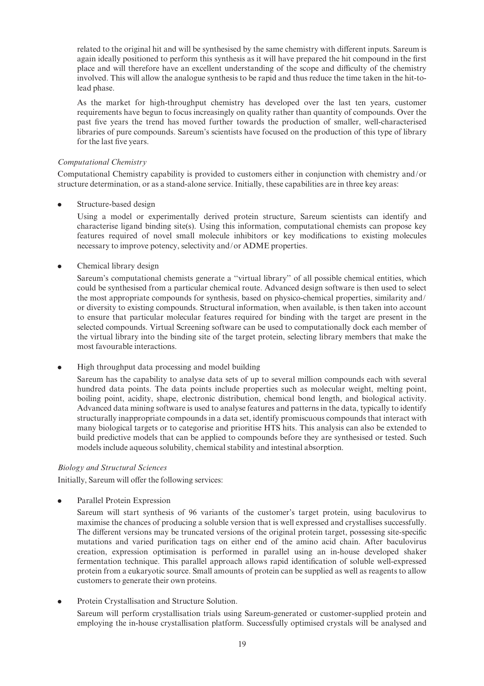related to the original hit and will be synthesised by the same chemistry with different inputs. Sareum is again ideally positioned to perform this synthesis as it will have prepared the hit compound in the first place and will therefore have an excellent understanding of the scope and difficulty of the chemistry involved. This will allow the analogue synthesis to be rapid and thus reduce the time taken in the hit-tolead phase.

As the market for high-throughput chemistry has developed over the last ten years, customer requirements have begun to focus increasingly on quality rather than quantity of compounds. Over the past five years the trend has moved further towards the production of smaller, well-characterised libraries of pure compounds. Sareum's scientists have focused on the production of this type of library for the last five years.

## Computational Chemistry

Computational Chemistry capability is provided to customers either in conjunction with chemistry and/or structure determination, or as a stand-alone service. Initially, these capabilities are in three key areas:

. Structure-based design

Using a model or experimentally derived protein structure, Sareum scientists can identify and characterise ligand binding site(s). Using this information, computational chemists can propose key features required of novel small molecule inhibitors or key modifications to existing molecules necessary to improve potency, selectivity and/or ADME properties.

• Chemical library design

Sareum's computational chemists generate a ''virtual library'' of all possible chemical entities, which could be synthesised from a particular chemical route. Advanced design software is then used to select the most appropriate compounds for synthesis, based on physico-chemical properties, similarity and/ or diversity to existing compounds. Structural information, when available, is then taken into account to ensure that particular molecular features required for binding with the target are present in the selected compounds. Virtual Screening software can be used to computationally dock each member of the virtual library into the binding site of the target protein, selecting library members that make the most favourable interactions.

. High throughput data processing and model building

Sareum has the capability to analyse data sets of up to several million compounds each with several hundred data points. The data points include properties such as molecular weight, melting point, boiling point, acidity, shape, electronic distribution, chemical bond length, and biological activity. Advanced data mining software is used to analyse features and patterns in the data, typically to identify structurally inappropriate compounds in a data set, identify promiscuous compounds that interact with many biological targets or to categorise and prioritise HTS hits. This analysis can also be extended to build predictive models that can be applied to compounds before they are synthesised or tested. Such models include aqueous solubility, chemical stability and intestinal absorption.

## Biology and Structural Sciences

Initially, Sareum will offer the following services:

. Parallel Protein Expression

Sareum will start synthesis of 96 variants of the customer's target protein, using baculovirus to maximise the chances of producing a soluble version that is well expressed and crystallises successfully. The different versions may be truncated versions of the original protein target, possessing site-specific mutations and varied purification tags on either end of the amino acid chain. After baculovirus creation, expression optimisation is performed in parallel using an in-house developed shaker fermentation technique. This parallel approach allows rapid identification of soluble well-expressed protein from a eukaryotic source. Small amounts of protein can be supplied as well as reagents to allow customers to generate their own proteins.

. Protein Crystallisation and Structure Solution.

Sareum will perform crystallisation trials using Sareum-generated or customer-supplied protein and employing the in-house crystallisation platform. Successfully optimised crystals will be analysed and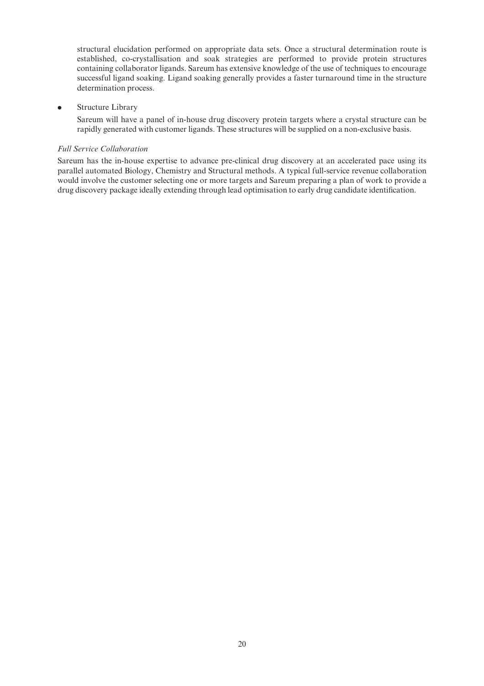structural elucidation performed on appropriate data sets. Once a structural determination route is established, co-crystallisation and soak strategies are performed to provide protein structures containing collaborator ligands. Sareum has extensive knowledge of the use of techniques to encourage successful ligand soaking. Ligand soaking generally provides a faster turnaround time in the structure determination process.

#### . Structure Library

Sareum will have a panel of in-house drug discovery protein targets where a crystal structure can be rapidly generated with customer ligands. These structures will be supplied on a non-exclusive basis.

#### Full Service Collaboration

Sareum has the in-house expertise to advance pre-clinical drug discovery at an accelerated pace using its parallel automated Biology, Chemistry and Structural methods. A typical full-service revenue collaboration would involve the customer selecting one or more targets and Sareum preparing a plan of work to provide a drug discovery package ideally extending through lead optimisation to early drug candidate identification.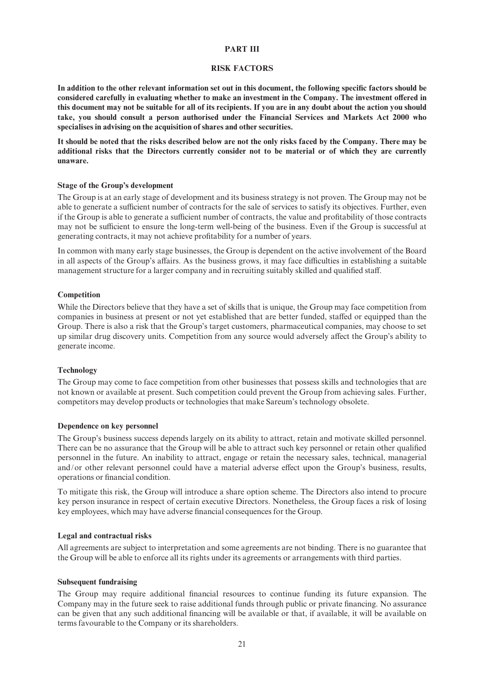#### PART III

#### RISK FACTORS

In addition to the other relevant information set out in this document, the following specific factors should be considered carefully in evaluating whether to make an investment in the Company. The investment offered in this document may not be suitable for all of its recipients. If you are in any doubt about the action you should take, you should consult a person authorised under the Financial Services and Markets Act 2000 who specialises in advising on the acquisition of shares and other securities.

It should be noted that the risks described below are not the only risks faced by the Company. There may be additional risks that the Directors currently consider not to be material or of which they are currently unaware.

#### Stage of the Group's development

The Group is at an early stage of development and its business strategy is not proven. The Group may not be able to generate a sufficient number of contracts for the sale of services to satisfy its objectives. Further, even if the Group is able to generate a sufficient number of contracts, the value and profitability of those contracts may not be sufficient to ensure the long-term well-being of the business. Even if the Group is successful at generating contracts, it may not achieve profitability for a number of years.

In common with many early stage businesses, the Group is dependent on the active involvement of the Board in all aspects of the Group's affairs. As the business grows, it may face difficulties in establishing a suitable management structure for a larger company and in recruiting suitably skilled and qualified staff.

#### **Competition**

While the Directors believe that they have a set of skills that is unique, the Group may face competition from companies in business at present or not yet established that are better funded, staffed or equipped than the Group. There is also a risk that the Group's target customers, pharmaceutical companies, may choose to set up similar drug discovery units. Competition from any source would adversely a¡ect the Group's ability to generate income.

#### Technology

The Group may come to face competition from other businesses that possess skills and technologies that are not known or available at present. Such competition could prevent the Group from achieving sales. Further, competitors may develop products or technologies that make Sareum's technology obsolete.

#### Dependence on key personnel

The Group's business success depends largely on its ability to attract, retain and motivate skilled personnel. There can be no assurance that the Group will be able to attract such key personnel or retain other qualified personnel in the future. An inability to attract, engage or retain the necessary sales, technical, managerial and/or other relevant personnel could have a material adverse effect upon the Group's business, results, operations or financial condition.

To mitigate this risk, the Group will introduce a share option scheme. The Directors also intend to procure key person insurance in respect of certain executive Directors. Nonetheless, the Group faces a risk of losing key employees, which may have adverse financial consequences for the Group.

#### Legal and contractual risks

All agreements are subject to interpretation and some agreements are not binding. There is no guarantee that the Group will be able to enforce all its rights under its agreements or arrangements with third parties.

#### Subsequent fundraising

The Group may require additional financial resources to continue funding its future expansion. The Company may in the future seek to raise additional funds through public or private financing. No assurance can be given that any such additional financing will be available or that, if available, it will be available on terms favourable to the Company or its shareholders.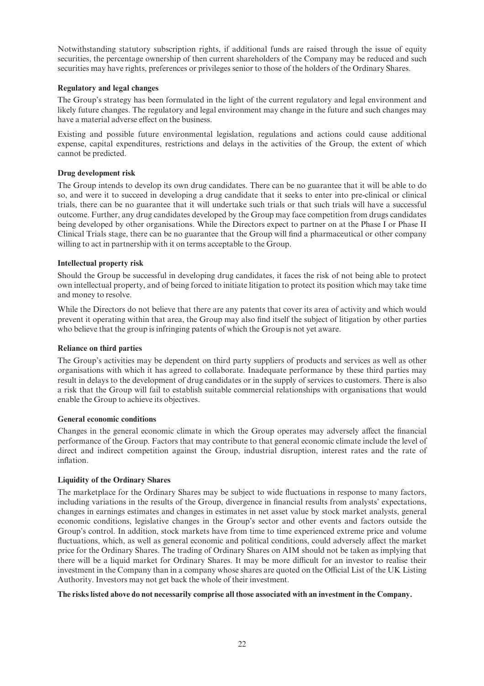Notwithstanding statutory subscription rights, if additional funds are raised through the issue of equity securities, the percentage ownership of then current shareholders of the Company may be reduced and such securities may have rights, preferences or privileges senior to those of the holders of the Ordinary Shares.

# Regulatory and legal changes

The Group's strategy has been formulated in the light of the current regulatory and legal environment and likely future changes. The regulatory and legal environment may change in the future and such changes may have a material adverse effect on the business.

Existing and possible future environmental legislation, regulations and actions could cause additional expense, capital expenditures, restrictions and delays in the activities of the Group, the extent of which cannot be predicted.

# Drug development risk

The Group intends to develop its own drug candidates. There can be no guarantee that it will be able to do so, and were it to succeed in developing a drug candidate that it seeks to enter into pre-clinical or clinical trials, there can be no guarantee that it will undertake such trials or that such trials will have a successful outcome. Further, any drug candidates developed by the Group may face competition from drugs candidates being developed by other organisations. While the Directors expect to partner on at the Phase I or Phase II Clinical Trials stage, there can be no guarantee that the Group will find a pharmaceutical or other company willing to act in partnership with it on terms acceptable to the Group.

# Intellectual property risk

Should the Group be successful in developing drug candidates, it faces the risk of not being able to protect own intellectual property, and of being forced to initiate litigation to protect its position which may take time and money to resolve.

While the Directors do not believe that there are any patents that cover its area of activity and which would prevent it operating within that area, the Group may also ¢nd itself the subject of litigation by other parties who believe that the group is infringing patents of which the Group is not yet aware.

#### Reliance on third parties

The Group's activities may be dependent on third party suppliers of products and services as well as other organisations with which it has agreed to collaborate. Inadequate performance by these third parties may result in delays to the development of drug candidates or in the supply of services to customers. There is also a risk that the Group will fail to establish suitable commercial relationships with organisations that would enable the Group to achieve its objectives.

#### General economic conditions

Changes in the general economic climate in which the Group operates may adversely affect the financial performance of the Group. Factors that may contribute to that general economic climate include the level of direct and indirect competition against the Group, industrial disruption, interest rates and the rate of inflation.

# Liquidity of the Ordinary Shares

The marketplace for the Ordinary Shares may be subject to wide fluctuations in response to many factors, including variations in the results of the Group, divergence in financial results from analysts' expectations, changes in earnings estimates and changes in estimates in net asset value by stock market analysts, general economic conditions, legislative changes in the Group's sector and other events and factors outside the Group's control. In addition, stock markets have from time to time experienced extreme price and volume fluctuations, which, as well as general economic and political conditions, could adversely affect the market price for the Ordinary Shares. The trading of Ordinary Shares on AIM should not be taken as implying that there will be a liquid market for Ordinary Shares. It may be more difficult for an investor to realise their investment in the Company than in a company whose shares are quoted on the Official List of the UK Listing Authority. Investors may not get back the whole of their investment.

## The risks listed above do not necessarily comprise all those associated with an investment in the Company.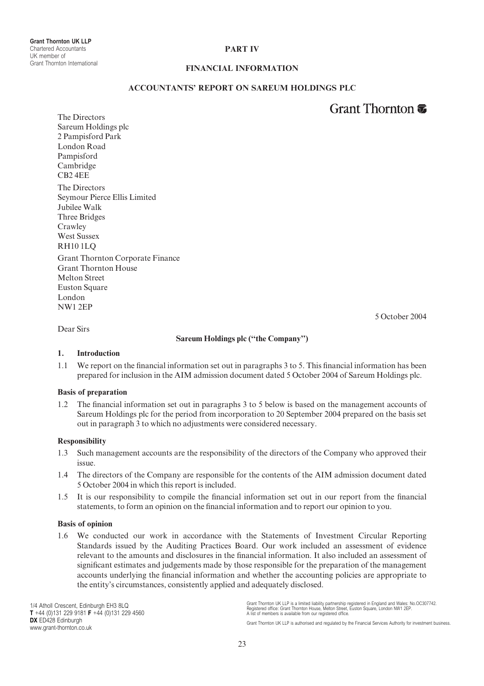# PART IV

## FINANCIAL INFORMATION

## ACCOUNTANTS' REPORT ON SAREUM HOLDINGS PLC

# Grant Thornton **第**

5 October 2004

The Directors Sareum Holdings plc 2 Pampisford Park London Road Pampisford Cambridge CB2 4EE The Directors Seymour Pierce Ellis Limited Jubilee Walk Three Bridges Crawley West Sussex RH10 1LQ Grant Thornton Corporate Finance

Grant Thornton House Melton Street Euston Square London NW1 2EP

Dear Sirs

#### Sareum Holdings plc (''the Company'')

#### 1. Introduction

1.1 We report on the financial information set out in paragraphs 3 to 5. This financial information has been prepared for inclusion in the AIM admission document dated 5 October 2004 of Sareum Holdings plc.

#### Basis of preparation

The financial information set out in paragraphs 3 to 5 below is based on the management accounts of Sareum Holdings plc for the period from incorporation to 20 September 2004 prepared on the basis set out in paragraph 3 to which no adjustments were considered necessary.

#### Responsibility

- 1.3 Such management accounts are the responsibility of the directors of the Company who approved their issue.
- 1.4 The directors of the Company are responsible for the contents of the AIM admission document dated 5 October 2004 in which this report is included.
- 1.5 It is our responsibility to compile the financial information set out in our report from the financial statements, to form an opinion on the financial information and to report our opinion to you.

#### Basis of opinion

1.6 We conducted our work in accordance with the Statements of Investment Circular Reporting Standards issued by the Auditing Practices Board. Our work included an assessment of evidence relevant to the amounts and disclosures in the financial information. It also included an assessment of significant estimates and judgements made by those responsible for the preparation of the management accounts underlying the financial information and whether the accounting policies are appropriate to the entity's circumstances, consistently applied and adequately disclosed.

1/4 Atholl Crescent, Edinburgh EH3 8LQ  $T + 44 (0)131 229 9181 F + 44 (0)131 229 4560$ DX ED428 Edinburgh www.grant-thornton.co.uk

Grant Thornton UK LLP is a limited liability partnership registered in England and Wales: No.OC307742.<br>Registered office: Grant Thornton House, Melton Street, Euston Square, London NW1 2EP.<br>A list of members is available f

Grant Thornton UK LLP is authorised and regulated by the Financial Services Authority for investment business.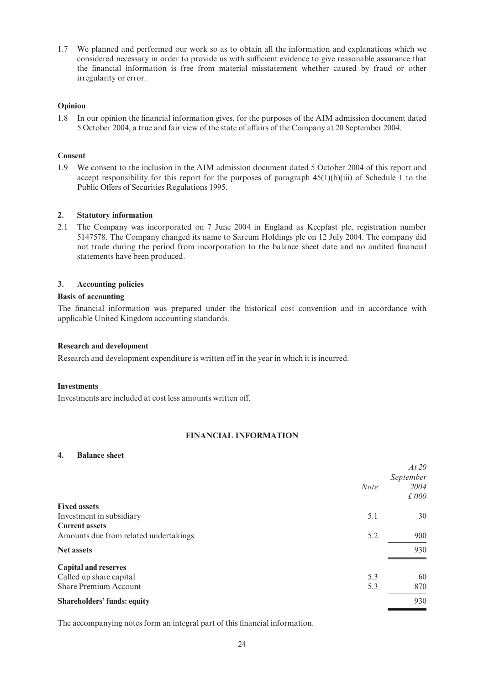1.7 We planned and performed our work so as to obtain all the information and explanations which we considered necessary in order to provide us with sufficient evidence to give reasonable assurance that the financial information is free from material misstatement whether caused by fraud or other irregularity or error.

# Opinion

1.8 In our opinion the financial information gives, for the purposes of the AIM admission document dated 5 October 2004, a true and fair view of the state of a¡airs of the Company at 20 September 2004.

# Consent

1.9 We consent to the inclusion in the AIM admission document dated 5 October 2004 of this report and accept responsibility for this report for the purposes of paragraph  $45(1)(b)(iii)$  of Schedule 1 to the Public Offers of Securities Regulations 1995.

#### 2. Statutory information

2.1 The Company was incorporated on 7 June 2004 in England as Keepfast plc, registration number 5147578. The Company changed its name to Sareum Holdings plc on 12 July 2004. The company did not trade during the period from incorporation to the balance sheet date and no audited financial statements have been produced.

# 3. Accounting policies

# Basis of accounting

The financial information was prepared under the historical cost convention and in accordance with applicable United Kingdom accounting standards.

#### Research and development

Research and development expenditure is written off in the year in which it is incurred.

#### **Investments**

Investments are included at cost less amounts written off.

# FINANCIAL INFORMATION

#### 4. Balance sheet

| At 20<br>September<br>2004<br>£'000 |
|-------------------------------------|
|                                     |
| 30                                  |
|                                     |
| 900                                 |
| 930                                 |
|                                     |
| 60                                  |
| 870                                 |
| 930                                 |
|                                     |

The accompanying notes form an integral part of this financial information.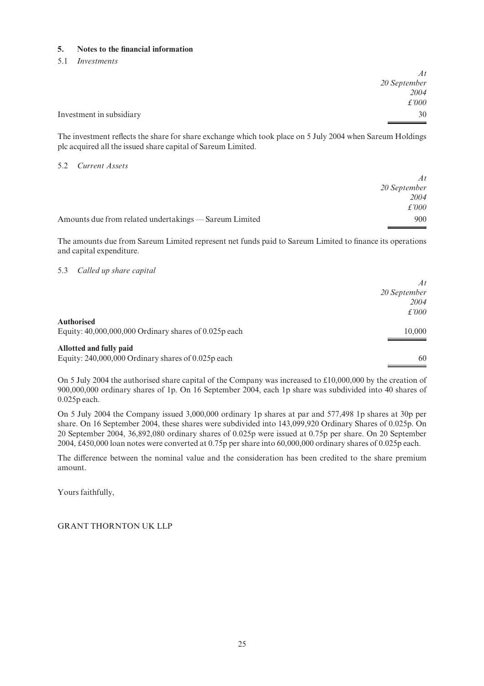# 5. Notes to the financial information

## 5.1 Investments

|                          | At           |
|--------------------------|--------------|
|                          | 20 September |
|                          | 2004         |
|                          | £'000        |
| Investment in subsidiary | 30           |
|                          |              |

The investment reflects the share for share exchange which took place on 5 July 2004 when Sareum Holdings plc acquired all the issued share capital of Sareum Limited.

## 5.2 Current Assets

|                                                        | At            |
|--------------------------------------------------------|---------------|
|                                                        | 20 September  |
|                                                        | 2004          |
|                                                        | $\pounds 000$ |
| Amounts due from related undertakings — Sareum Limited | 900           |

The amounts due from Sareum Limited represent net funds paid to Sareum Limited to finance its operations and capital expenditure.

# 5.3 Called up share capital

|                                                           | At            |
|-----------------------------------------------------------|---------------|
|                                                           | 20 September  |
|                                                           | 2004          |
|                                                           | $\pounds 000$ |
| Authorised                                                |               |
| Equity: $40,000,000,000$ Ordinary shares of $0.025p$ each | 10,000        |
|                                                           |               |
| Allotted and fully paid                                   |               |
| Equity: $240,000,000$ Ordinary shares of $0.025p$ each    | 60            |

On 5 July 2004 the authorised share capital of the Company was increased to £10,000,000 by the creation of 900,000,000 ordinary shares of 1p. On 16 September 2004, each 1p share was subdivided into 40 shares of 0.025p each.

On 5 July 2004 the Company issued 3,000,000 ordinary 1p shares at par and 577,498 1p shares at 30p per share. On 16 September 2004, these shares were subdivided into 143,099,920 Ordinary Shares of 0.025p. On 20 September 2004, 36,892,080 ordinary shares of 0.025p were issued at 0.75p per share. On 20 September 2004, »450,000 loan notes were converted at 0.75p per share into 60,000,000 ordinary shares of 0.025p each.

The difference between the nominal value and the consideration has been credited to the share premium amount.

Yours faithfully,

GRANT THORNTON UK LLP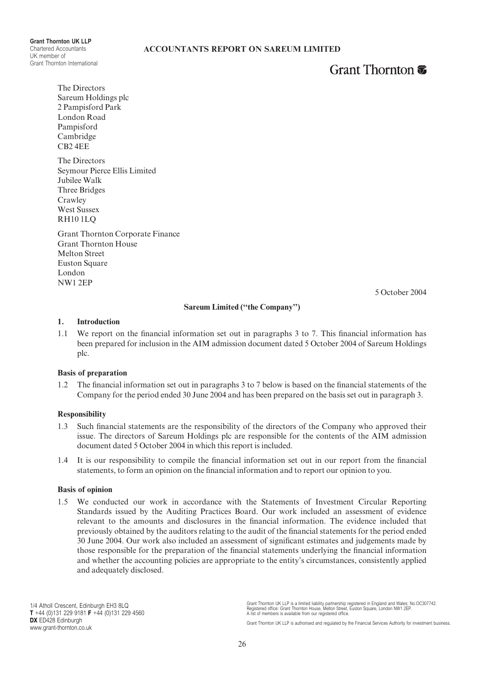Grant Thornton UK LLP Chartered Accountants UK member of Grant Thornton International

# Grant Thornton **T**

The Directors Sareum Holdings plc 2 Pampisford Park London Road Pampisford Cambridge CB2 4EE

The Directors Seymour Pierce Ellis Limited Jubilee Walk Three Bridges Crawley West Sussex RH10 1LQ

Grant Thornton Corporate Finance Grant Thornton House Melton Street Euston Square London NW1 2EP

5 October 2004

#### Sareum Limited (''the Company'')

#### 1. Introduction

1.1 We report on the financial information set out in paragraphs 3 to 7. This financial information has been prepared for inclusion in the AIM admission document dated 5 October 2004 of Sareum Holdings plc.

## Basis of preparation

1.2 The financial information set out in paragraphs 3 to 7 below is based on the financial statements of the Company for the period ended 30 June 2004 and has been prepared on the basis set out in paragraph 3.

#### Responsibility

- 1.3 Such financial statements are the responsibility of the directors of the Company who approved their issue. The directors of Sareum Holdings plc are responsible for the contents of the AIM admission document dated 5 October 2004 in which this report is included.
- 1.4 It is our responsibility to compile the financial information set out in our report from the financial statements, to form an opinion on the financial information and to report our opinion to you.

#### Basis of opinion

1.5 We conducted our work in accordance with the Statements of Investment Circular Reporting Standards issued by the Auditing Practices Board. Our work included an assessment of evidence relevant to the amounts and disclosures in the ¢nancial information. The evidence included that previously obtained by the auditors relating to the audit of the financial statements for the period ended 30 June 2004. Our work also included an assessment of significant estimates and judgements made by those responsible for the preparation of the financial statements underlying the financial information and whether the accounting policies are appropriate to the entity's circumstances, consistently applied and adequately disclosed.

Grant Thornton UK LLP is a limited liability partnership registered in England and Wales: No.OC307742.<br>Registered office: Grant Thornton House, Melton Street, Euston Square, London NW1 2EP.<br>A list of members is available f

Grant Thornton UK LLP is authorised and regulated by the Financial Services Authority for investment business.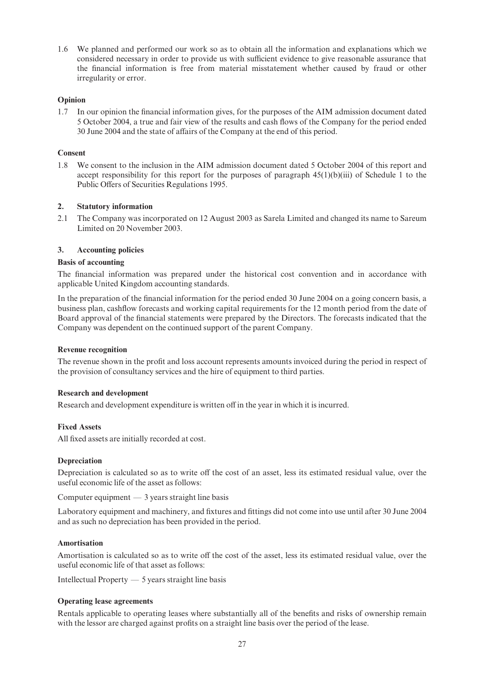1.6 We planned and performed our work so as to obtain all the information and explanations which we considered necessary in order to provide us with sufficient evidence to give reasonable assurance that the financial information is free from material misstatement whether caused by fraud or other irregularity or error.

# Opinion

1.7 In our opinion the financial information gives, for the purposes of the AIM admission document dated 5 October 2004, a true and fair view of the results and cash flows of the Company for the period ended 30 June 2004 and the state of affairs of the Company at the end of this period.

# Consent

1.8 We consent to the inclusion in the AIM admission document dated 5 October 2004 of this report and accept responsibility for this report for the purposes of paragraph  $45(1)(b)(iii)$  of Schedule 1 to the Public Offers of Securities Regulations 1995.

# 2. Statutory information

2.1 The Company was incorporated on 12 August 2003 as Sarela Limited and changed its name to Sareum Limited on 20 November 2003.

# 3. Accounting policies

#### Basis of accounting

The financial information was prepared under the historical cost convention and in accordance with applicable United Kingdom accounting standards.

In the preparation of the financial information for the period ended 30 June 2004 on a going concern basis, a business plan, cashflow forecasts and working capital requirements for the 12 month period from the date of Board approval of the financial statements were prepared by the Directors. The forecasts indicated that the Company was dependent on the continued support of the parent Company.

#### Revenue recognition

The revenue shown in the profit and loss account represents amounts invoiced during the period in respect of the provision of consultancy services and the hire of equipment to third parties.

#### Research and development

Research and development expenditure is written off in the year in which it is incurred.

#### Fixed Assets

All fixed assets are initially recorded at cost.

#### Depreciation

Depreciation is calculated so as to write off the cost of an asset, less its estimated residual value, over the useful economic life of the asset as follows:

Computer equipment  $-3$  years straight line basis

Laboratory equipment and machinery, and fixtures and fittings did not come into use until after 30 June 2004 and as such no depreciation has been provided in the period.

#### Amortisation

Amortisation is calculated so as to write off the cost of the asset, less its estimated residual value, over the useful economic life of that asset as follows:

Intellectual Property  $-5$  years straight line basis

#### Operating lease agreements

Rentals applicable to operating leases where substantially all of the benefits and risks of ownership remain with the lessor are charged against profits on a straight line basis over the period of the lease.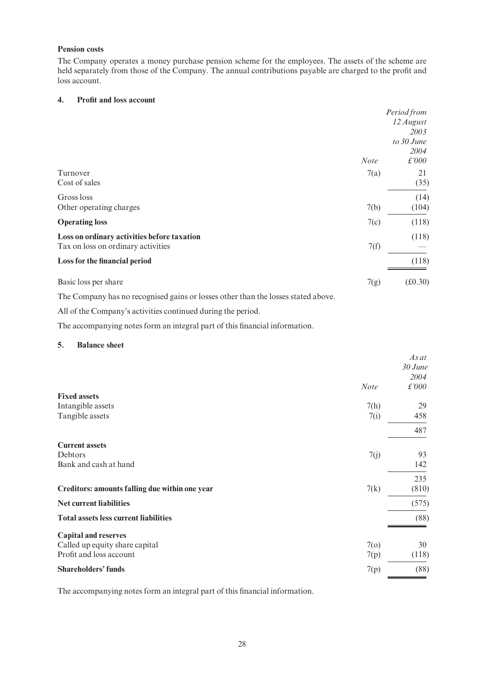# Pension costs

The Company operates a money purchase pension scheme for the employees. The assets of the scheme are held separately from those of the Company. The annual contributions payable are charged to the profit and loss account.

# 4. Profit and loss account

|                                                                                   |             | Period from |
|-----------------------------------------------------------------------------------|-------------|-------------|
|                                                                                   |             | 12 August   |
|                                                                                   |             | 2003        |
|                                                                                   |             | to 30 June  |
|                                                                                   |             | 2004        |
|                                                                                   | <b>Note</b> | £'000       |
| Turnover                                                                          | 7(a)        | 21          |
| Cost of sales                                                                     |             | (35)        |
| Gross loss                                                                        |             | (14)        |
| Other operating charges                                                           | 7(b)        | (104)       |
| <b>Operating loss</b>                                                             | 7(c)        | (118)       |
| Loss on ordinary activities before taxation                                       |             | (118)       |
| Tax on loss on ordinary activities                                                | 7(f)        |             |
| Loss for the financial period                                                     |             | (118)       |
| Basic loss per share                                                              | 7(g)        | (f0.30)     |
| The Company has no recognised gains or losses other than the losses stated above. |             |             |

All of the Company's activities continued during the period.

The accompanying notes form an integral part of this financial information.

### 5. Balance sheet

| <b>Note</b>                                            | As at<br>$30$ June<br>2004<br>£'000 |
|--------------------------------------------------------|-------------------------------------|
| <b>Fixed assets</b>                                    |                                     |
| Intangible assets<br>7(h)                              | 29                                  |
| Tangible assets<br>7(i)                                | 458                                 |
|                                                        | 487                                 |
| <b>Current assets</b>                                  |                                     |
| Debtors<br>7(j)                                        | 93                                  |
| Bank and cash at hand                                  | 142                                 |
|                                                        | 235                                 |
| Creditors: amounts falling due within one year<br>7(k) | (810)                               |
| <b>Net current liabilities</b>                         | (575)                               |
| <b>Total assets less current liabilities</b>           | (88)                                |
| <b>Capital and reserves</b>                            |                                     |
| 7 <sub>o</sub><br>Called up equity share capital       | 30                                  |
| Profit and loss account<br>7(p)                        | (118)                               |
| <b>Shareholders' funds</b><br>7(p)                     | (88)                                |

The accompanying notes form an integral part of this financial information.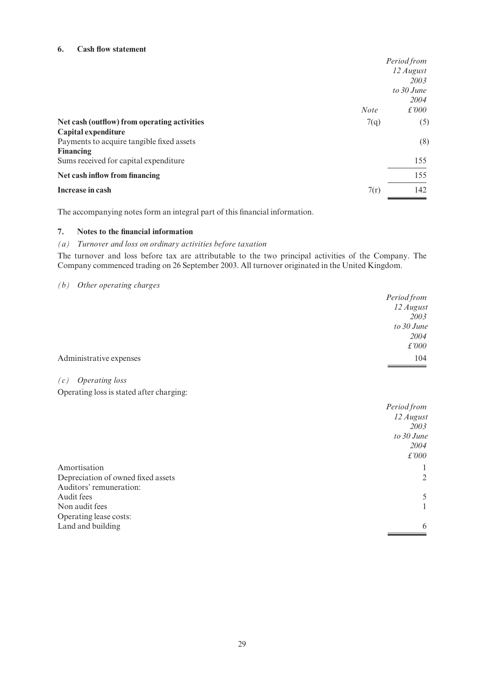# 6. Cash flow statement

|                                              |             | Period from   |
|----------------------------------------------|-------------|---------------|
|                                              |             | 12 August     |
|                                              |             | 2003          |
|                                              |             | to 30 June    |
|                                              |             | 2004          |
|                                              | <b>Note</b> | $\pounds 000$ |
| Net cash (outflow) from operating activities | 7(q)        | (5)           |
| Capital expenditure                          |             |               |
| Payments to acquire tangible fixed assets    |             | (8)           |
| <b>Financing</b>                             |             |               |
| Sums received for capital expenditure        |             | 155           |
| Net cash inflow from financing               |             | 155           |
| Increase in cash                             | 7(r)        | 142           |
|                                              |             |               |

The accompanying notes form an integral part of this financial information.

# 7. Notes to the financial information

# (a) Turnover and loss on ordinary activities before taxation

The turnover and loss before tax are attributable to the two principal activities of the Company. The Company commenced trading on 26 September 2003. All turnover originated in the United Kingdom.

# (b) Other operating charges

|                                                                               | <b>Period from</b><br>12 August<br>2003<br>to 30 June<br>2004   |
|-------------------------------------------------------------------------------|-----------------------------------------------------------------|
|                                                                               | £'000                                                           |
| Administrative expenses                                                       | 104                                                             |
| <b>Operating</b> loss<br>(c)                                                  |                                                                 |
| Operating loss is stated after charging:                                      |                                                                 |
|                                                                               | Period from<br>12 August<br>2003<br>to 30 June<br>2004<br>£'000 |
| Amortisation<br>Depreciation of owned fixed assets<br>Auditors' remuneration: | $\perp$<br>$\overline{2}$                                       |
| Audit fees<br>Non audit fees                                                  | 5<br>1                                                          |
| Operating lease costs:<br>Land and building                                   | 6                                                               |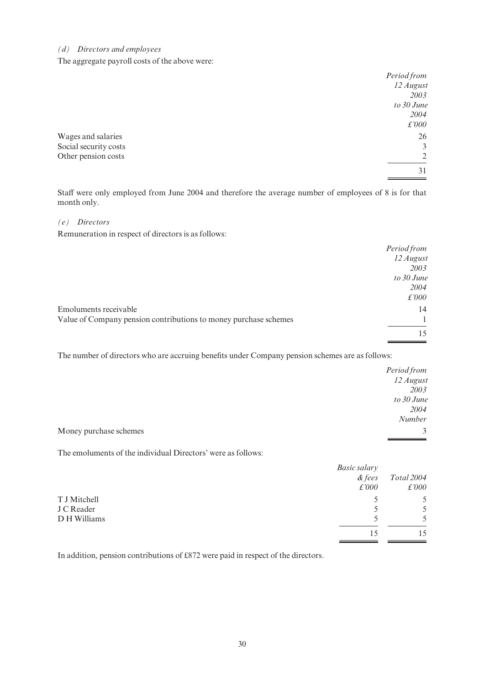# (d) Directors and employees

The aggregate payroll costs of the above were:

|                       | Period from |
|-----------------------|-------------|
|                       | 12 August   |
|                       | 2003        |
|                       | to 30 June  |
|                       | 2004        |
|                       | £'000       |
| Wages and salaries    | 26          |
| Social security costs | 3           |
| Other pension costs   | 2           |
|                       | 31          |
|                       |             |

Staff were only employed from June 2004 and therefore the average number of employees of 8 is for that month only.

## (e) Directors

Remuneration in respect of directors is as follows:

|                                                                  | Period from   |
|------------------------------------------------------------------|---------------|
|                                                                  | 12 August     |
|                                                                  | 2003          |
|                                                                  | to 30 June    |
|                                                                  | 2004          |
|                                                                  | $\pounds 000$ |
| Emoluments receivable                                            | 14            |
| Value of Company pension contributions to money purchase schemes |               |
|                                                                  | 15            |

The number of directors who are accruing benefits under Company pension schemes are as follows:

|                        | Period from   |
|------------------------|---------------|
|                        | 12 August     |
|                        | 2003          |
|                        | to 30 June    |
|                        | 2004          |
|                        | Number        |
| Money purchase schemes | $\mathcal{E}$ |

The emoluments of the individual Directors' were as follows:

|              | Basic salary |            |
|--------------|--------------|------------|
|              | $\&$ fees    | Total 2004 |
|              | £'000        | £'000      |
| T J Mitchell |              | 5          |
| J C Reader   |              | 5          |
| D H Williams |              | 5          |
|              |              | 15         |

In addition, pension contributions of £872 were paid in respect of the directors.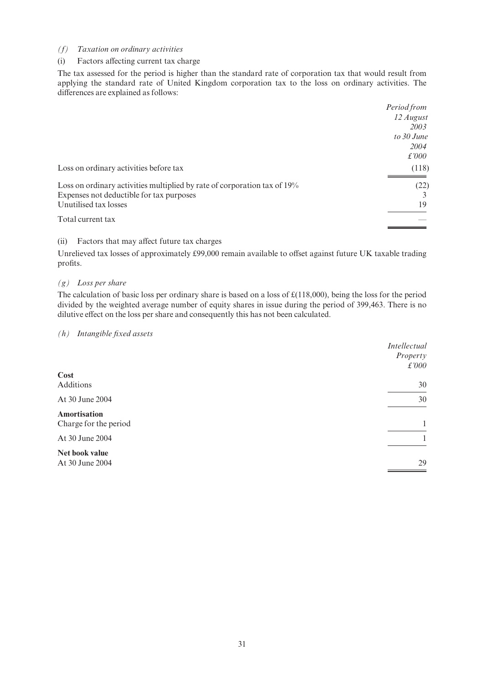#### (f) Taxation on ordinary activities

## (i) Factors affecting current tax charge

The tax assessed for the period is higher than the standard rate of corporation tax that would result from applying the standard rate of United Kingdom corporation tax to the loss on ordinary activities. The differences are explained as follows:

|                                                                          | Period from  |
|--------------------------------------------------------------------------|--------------|
|                                                                          | 12 August    |
|                                                                          | 2003         |
|                                                                          | to $30$ June |
|                                                                          | 2004         |
|                                                                          | £'000        |
| Loss on ordinary activities before tax                                   | (118)        |
| Loss on ordinary activities multiplied by rate of corporation tax of 19% | (22)         |
| Expenses not deductible for tax purposes                                 |              |
| Unutilised tax losses                                                    | 19           |
| Total current tax                                                        |              |

# (ii) Factors that may affect future tax charges

Unrelieved tax losses of approximately £99,000 remain available to offset against future UK taxable trading profits.

# $(g)$  Loss per share

The calculation of basic loss per ordinary share is based on a loss of  $\mathcal{E}(118,000)$ , being the loss for the period divided by the weighted average number of equity shares in issue during the period of 399,463. There is no dilutive effect on the loss per share and consequently this has not been calculated.

# $(h)$  Intangible fixed assets

|                       | <b>Intellectual</b><br>Property |
|-----------------------|---------------------------------|
|                       | £'000                           |
| <b>Cost</b>           |                                 |
| Additions             | 30                              |
| At 30 June 2004       | 30                              |
| Amortisation          |                                 |
| Charge for the period |                                 |
| At 30 June 2004       |                                 |
| Net book value        |                                 |
| At 30 June 2004       | 29                              |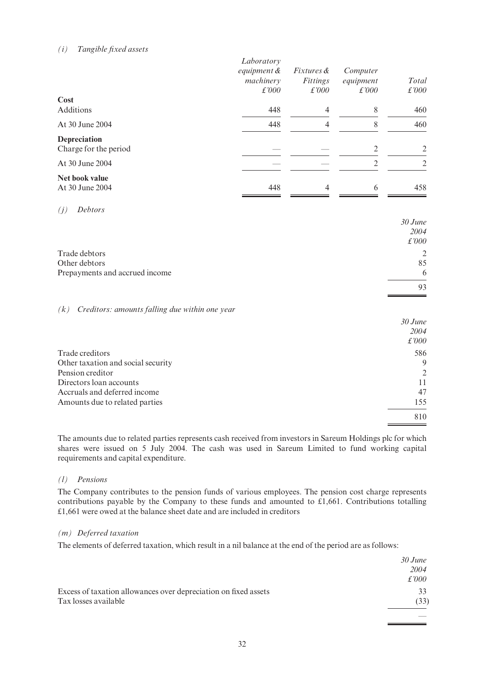# $(i)$  Tangible fixed assets

| Cost<br>Additions                     | Laboratory<br>equipment &<br>machinery<br>$\pounds 000$<br>448 | <i>Fixtures &amp;</i><br>Fittings<br>$\pounds'000$<br>4 | Computer<br>equipment<br>£'000<br>8 | Total<br>£'000<br>460 |
|---------------------------------------|----------------------------------------------------------------|---------------------------------------------------------|-------------------------------------|-----------------------|
| At 30 June 2004                       | 448                                                            | 4                                                       | 8                                   | 460                   |
| Depreciation<br>Charge for the period |                                                                |                                                         | 2                                   | 2                     |
| At 30 June 2004                       |                                                                |                                                         | $\mathfrak{D}$                      | 2                     |
| Net book value<br>At 30 June 2004     | 448                                                            | 4                                                       | 6                                   | 458                   |
| <b>Debtors</b><br>(j)                 |                                                                |                                                         |                                     |                       |

|                                | $30$ June |
|--------------------------------|-----------|
|                                | 2004      |
|                                | £'000     |
| Trade debtors                  | 2         |
| Other debtors                  | 85        |
| Prepayments and accrued income | 6         |
|                                | 93        |

# $(k)$  Creditors: amounts falling due within one year

|                                    | $30$ June |
|------------------------------------|-----------|
|                                    | 2004      |
|                                    | £'000     |
| Trade creditors                    | 586       |
| Other taxation and social security | 9         |
| Pension creditor                   | 2         |
| Directors loan accounts            | 11        |
| Accruals and deferred income       | 47        |
| Amounts due to related parties     | 155       |
|                                    | 810       |

The amounts due to related parties represents cash received from investors in Sareum Holdings plc for which shares were issued on 5 July 2004. The cash was used in Sareum Limited to fund working capital requirements and capital expenditure.

#### (l) Pensions

The Company contributes to the pension funds of various employees. The pension cost charge represents contributions payable by the Company to these funds and amounted to  $£1,661$ . Contributions totalling »1,661 were owed at the balance sheet date and are included in creditors

## (m) Deferred taxation

The elements of deferred taxation, which result in a nil balance at the end of the period are as follows:

|                                                                 | $30$ June |
|-----------------------------------------------------------------|-----------|
|                                                                 | 2004      |
|                                                                 | £'000     |
| Excess of taxation allowances over depreciation on fixed assets | 33        |
| Tax losses available                                            | (33)      |
|                                                                 |           |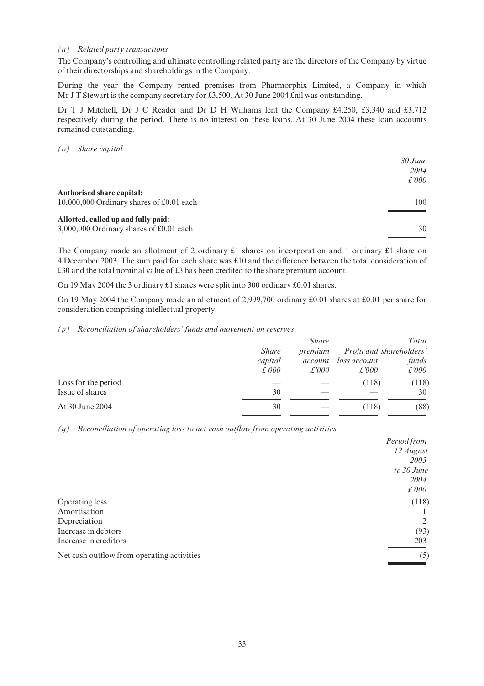#### (n) Related party transactions

The Company's controlling and ultimate controlling related party are the directors of the Company by virtue of their directorships and shareholdings in the Company.

During the year the Company rented premises from Pharmorphix Limited, a Company in which Mr J T Stewart is the company secretary for £3,500. At 30 June 2004  $\hat{\text{L}}$ nil was outstanding.

Dr T J Mitchell, Dr J C Reader and Dr D H Williams lent the Company  $\text{\pounds}4,250, \text{\pounds}3,340$  and  $\text{\pounds}3,712$ respectively during the period. There is no interest on these loans. At 30 June 2004 these loan accounts remained outstanding.

(o) Share capital

| $30$ June     |
|---------------|
| 2004          |
| $\pounds 000$ |
| 100           |
|               |
| 30            |
|               |

The Company made an allotment of 2 ordinary  $\pounds 1$  shares on incorporation and 1 ordinary  $\pounds 1$  share on 4 December 2003. The sum paid for each share was £10 and the difference between the total consideration of  $\pounds 30$  and the total nominal value of  $\pounds 3$  has been credited to the share premium account.

On 19 May 2004 the 3 ordinary  $£1$  shares were split into 300 ordinary  $£0.01$  shares.

On 19 May 2004 the Company made an allotment of 2,999,700 ordinary  $\text{\pounds}0.01$  shares at  $\text{\pounds}0.01$  per share for consideration comprising intellectual property.

#### (p) Reconciliation of shareholders' funds and movement on reserves

|                     |               | <i>Share</i>  |               | Total                    |
|---------------------|---------------|---------------|---------------|--------------------------|
|                     | <b>Share</b>  | premium       |               | Profit and shareholders' |
|                     | capital       | account       | loss account  | funds                    |
|                     | $\pounds 000$ | $\pounds'000$ | $\pounds 000$ | $\pounds 000$            |
| Loss for the period |               |               | (118)         | (118)                    |
| Issue of shares     | 30            |               |               | 30                       |
| At 30 June 2004     | 30            |               | (118)         | (88)                     |

 $(q)$  Reconciliation of operating loss to net cash outflow from operating activities

|                                            | Period from |
|--------------------------------------------|-------------|
|                                            | 12 August   |
|                                            | 2003        |
|                                            | to 30 June  |
|                                            | 2004        |
|                                            | £'000       |
| Operating loss                             | (118)       |
| Amortisation                               |             |
| Depreciation                               | 2           |
| Increase in debtors                        | (93)        |
| Increase in creditors                      | 203         |
| Net cash outflow from operating activities | (5)         |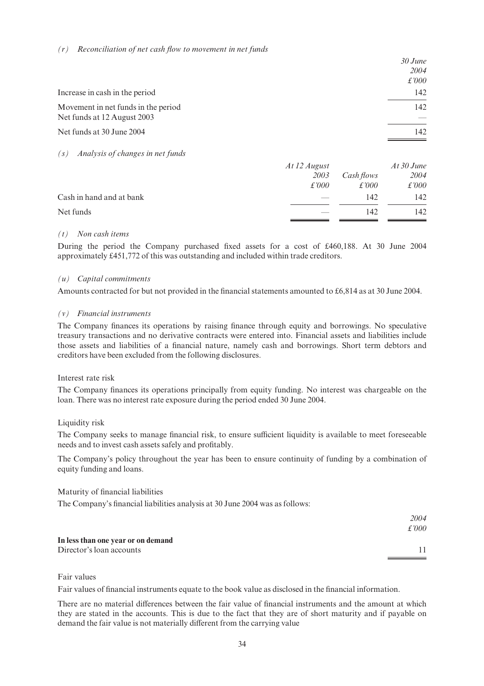#### $(r)$  Reconciliation of net cash flow to movement in net funds

|                                         |              | $30$ June     |
|-----------------------------------------|--------------|---------------|
|                                         |              | 2004          |
|                                         |              | $\pounds 000$ |
| Increase in cash in the period          |              | 142           |
| Movement in net funds in the period     |              | 142           |
| Net funds at 12 August 2003             |              |               |
| Net funds at 30 June 2004               |              | 142           |
|                                         |              |               |
| Analysis of changes in net funds<br>(S) |              |               |
|                                         | At 12 August | At 30 June    |

|                          | $\overline{\phantom{0}}$<br>2003 | Cash flows | 2004  |
|--------------------------|----------------------------------|------------|-------|
|                          | £'000                            | £'000      | £'000 |
| Cash in hand and at bank |                                  | 142        | 142.  |
| Net funds                |                                  | 142        | 142   |

#### (t) Non cash items

During the period the Company purchased fixed assets for a cost of £460,188. At 30 June 2004 approximately £451,772 of this was outstanding and included within trade creditors.

# (u) Capital commitments

Amounts contracted for but not provided in the financial statements amounted to  $\text{\pounds}6,814$  as at 30 June 2004.

# (v) Financial instruments

The Company finances its operations by raising finance through equity and borrowings. No speculative treasury transactions and no derivative contracts were entered into. Financial assets and liabilities include those assets and liabilities of a financial nature, namely cash and borrowings. Short term debtors and creditors have been excluded from the following disclosures.

#### Interest rate risk

The Company finances its operations principally from equity funding. No interest was chargeable on the loan. There was no interest rate exposure during the period ended 30 June 2004.

# Liquidity risk

The Company seeks to manage financial risk, to ensure sufficient liquidity is available to meet foreseeable needs and to invest cash assets safely and profitably.

The Company's policy throughout the year has been to ensure continuity of funding by a combination of equity funding and loans.

# Maturity of financial liabilities

The Company's financial liabilities analysis at 30 June 2004 was as follows:

|                                    | 2004          |
|------------------------------------|---------------|
|                                    | $\pounds 000$ |
| In less than one year or on demand |               |
| Director's loan accounts           |               |
|                                    |               |

### Fair values

Fair values of financial instruments equate to the book value as disclosed in the financial information.

There are no material differences between the fair value of financial instruments and the amount at which they are stated in the accounts. This is due to the fact that they are of short maturity and if payable on demand the fair value is not materially different from the carrying value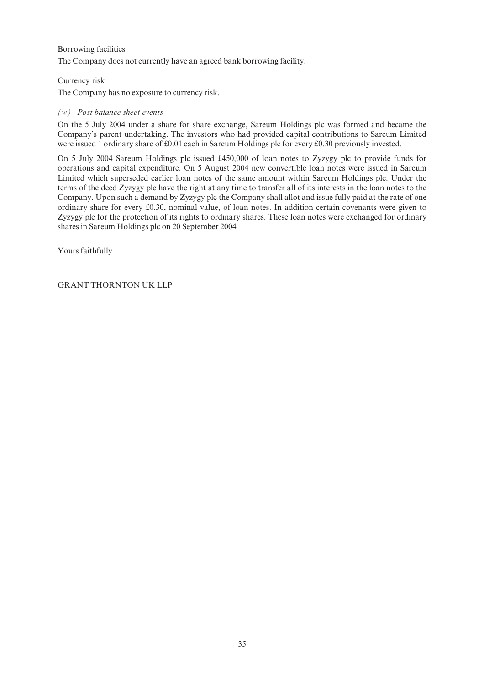# Borrowing facilities

The Company does not currently have an agreed bank borrowing facility.

# Currency risk

The Company has no exposure to currency risk.

## (w) Post balance sheet events

On the 5 July 2004 under a share for share exchange, Sareum Holdings plc was formed and became the Company's parent undertaking. The investors who had provided capital contributions to Sareum Limited were issued 1 ordinary share of  $\text{\pounds}0.01$  each in Sareum Holdings plc for every  $\text{\pounds}0.30$  previously invested.

On 5 July 2004 Sareum Holdings plc issued £450,000 of loan notes to Zyzygy plc to provide funds for operations and capital expenditure. On 5 August 2004 new convertible loan notes were issued in Sareum Limited which superseded earlier loan notes of the same amount within Sareum Holdings plc. Under the terms of the deed Zyzygy plc have the right at any time to transfer all of its interests in the loan notes to the Company. Upon such a demand by Zyzygy plc the Company shall allot and issue fully paid at the rate of one ordinary share for every £0.30, nominal value, of loan notes. In addition certain covenants were given to Zyzygy plc for the protection of its rights to ordinary shares. These loan notes were exchanged for ordinary shares in Sareum Holdings plc on 20 September 2004

Yours faithfully

GRANT THORNTON UK LLP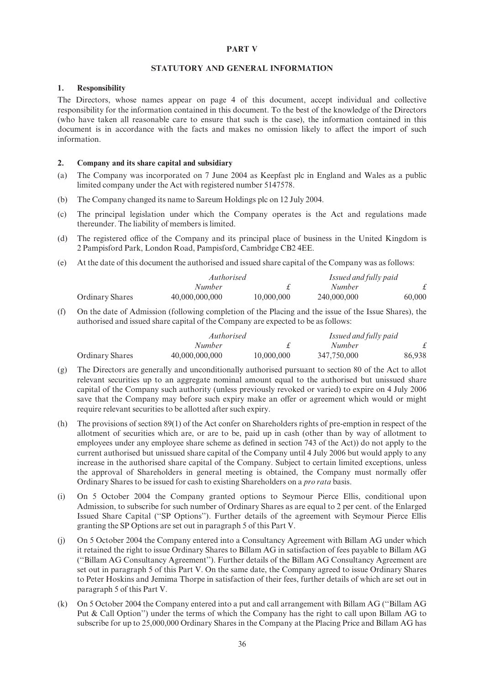# PART V

#### STATUTORY AND GENERAL INFORMATION

#### 1. Responsibility

The Directors, whose names appear on page 4 of this document, accept individual and collective responsibility for the information contained in this document. To the best of the knowledge of the Directors (who have taken all reasonable care to ensure that such is the case), the information contained in this document is in accordance with the facts and makes no omission likely to affect the import of such information.

#### 2. Company and its share capital and subsidiary

- (a) The Company was incorporated on 7 June 2004 as Keepfast plc in England and Wales as a public limited company under the Act with registered number 5147578.
- (b) The Company changed its name to Sareum Holdings plc on 12 July 2004.
- (c) The principal legislation under which the Company operates is the Act and regulations made thereunder. The liability of members is limited.
- (d) The registered office of the Company and its principal place of business in the United Kingdom is 2 Pampisford Park, London Road, Pampisford, Cambridge CB2 4EE.
- (e) At the date of this document the authorised and issued share capital of the Company was as follows:

|                 |                | <i>Authorised</i> |               | Issued and fully paid |
|-----------------|----------------|-------------------|---------------|-----------------------|
|                 | Number         |                   | <i>Number</i> |                       |
| Ordinary Shares | 40,000,000,000 | 10,000,000        | 240,000,000   | 60,000                |

(f) On the date of Admission (following completion of the Placing and the issue of the Issue Shares), the authorised and issued share capital of the Company are expected to be as follows:

|                        | Authorised     |            | Issued and fully paid |        |
|------------------------|----------------|------------|-----------------------|--------|
|                        | Number         |            | Number                |        |
| <b>Ordinary Shares</b> | 40,000,000,000 | 10,000,000 | 347,750,000           | 86,938 |

- (g) The Directors are generally and unconditionally authorised pursuant to section 80 of the Act to allot relevant securities up to an aggregate nominal amount equal to the authorised but unissued share capital of the Company such authority (unless previously revoked or varied) to expire on 4 July 2006 save that the Company may before such expiry make an offer or agreement which would or might require relevant securities to be allotted after such expiry.
- (h) The provisions of section 89(1) of the Act confer on Shareholders rights of pre-emption in respect of the allotment of securities which are, or are to be, paid up in cash (other than by way of allotment to employees under any employee share scheme as defined in section 743 of the Act)) do not apply to the current authorised but unissued share capital of the Company until 4 July 2006 but would apply to any increase in the authorised share capital of the Company. Subject to certain limited exceptions, unless the approval of Shareholders in general meeting is obtained, the Company must normally offer Ordinary Shares to be issued for cash to existing Shareholders on a pro rata basis.
- (i) On 5 October 2004 the Company granted options to Seymour Pierce Ellis, conditional upon Admission, to subscribe for such number of Ordinary Shares as are equal to 2 per cent. of the Enlarged Issued Share Capital (''SP Options''). Further details of the agreement with Seymour Pierce Ellis granting the SP Options are set out in paragraph 5 of this Part V.
- (j) On 5 October 2004 the Company entered into a Consultancy Agreement with Billam AG under which it retained the right to issue Ordinary Shares to Billam AG in satisfaction of fees payable to Billam AG (''Billam AG Consultancy Agreement''). Further details of the Billam AG Consultancy Agreement are set out in paragraph 5 of this Part V. On the same date, the Company agreed to issue Ordinary Shares to Peter Hoskins and Jemima Thorpe in satisfaction of their fees, further details of which are set out in paragraph 5 of this Part V.
- (k) On 5 October 2004 the Company entered into a put and call arrangement with Billam AG (''Billam AG Put & Call Option'') under the terms of which the Company has the right to call upon Billam AG to subscribe for up to 25,000,000 Ordinary Shares in the Company at the Placing Price and Billam AG has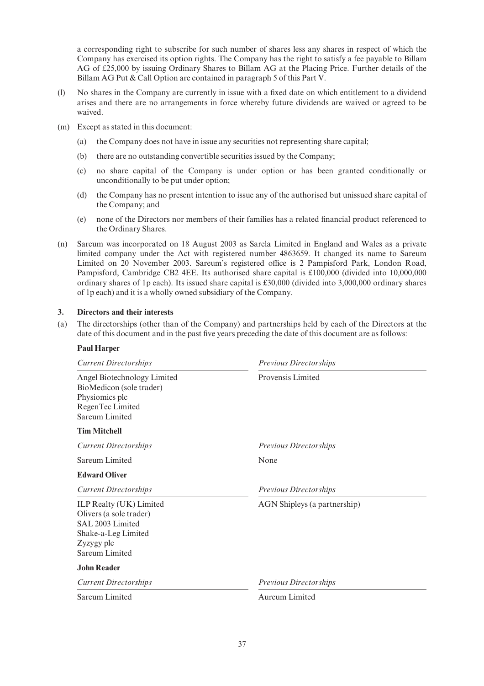a corresponding right to subscribe for such number of shares less any shares in respect of which the Company has exercised its option rights. The Company has the right to satisfy a fee payable to Billam AG of  $\text{\textsterling}25,000$  by issuing Ordinary Shares to Billam AG at the Placing Price. Further details of the Billam AG Put & Call Option are contained in paragraph 5 of this Part V.

- (l) No shares in the Company are currently in issue with a ¢xed date on which entitlement to a dividend arises and there are no arrangements in force whereby future dividends are waived or agreed to be waived.
- (m) Except as stated in this document:
	- (a) the Company does not have in issue any securities not representing share capital;
	- (b) there are no outstanding convertible securities issued by the Company;
	- (c) no share capital of the Company is under option or has been granted conditionally or unconditionally to be put under option;
	- (d) the Company has no present intention to issue any of the authorised but unissued share capital of the Company; and
	- (e) none of the Directors nor members of their families has a related ¢nancial product referenced to the Ordinary Shares.
- (n) Sareum was incorporated on 18 August 2003 as Sarela Limited in England and Wales as a private limited company under the Act with registered number 4863659. It changed its name to Sareum Limited on 20 November 2003. Sareum's registered office is 2 Pampisford Park, London Road, Pampisford, Cambridge CB2 4EE. Its authorised share capital is £100,000 (divided into 10,000,000) ordinary shares of 1p each). Its issued share capital is  $\text{\pounds}30,000$  (divided into 3,000,000 ordinary shares of 1p each) and it is a wholly owned subsidiary of the Company.

# 3. Directors and their interests

(a) The directorships (other than of the Company) and partnerships held by each of the Directors at the date of this document and in the past five years preceding the date of this document are as follows:

#### Paul Harper

| <b>Current Directorships</b>                                                                                                  | <b>Previous Directorships</b> |  |
|-------------------------------------------------------------------------------------------------------------------------------|-------------------------------|--|
| Angel Biotechnology Limited<br>BioMedicon (sole trader)<br>Physiomics plc<br>RegenTec Limited<br>Sareum Limited               | Provensis Limited             |  |
| <b>Tim Mitchell</b>                                                                                                           |                               |  |
| <b>Current Directorships</b>                                                                                                  | <b>Previous Directorships</b> |  |
| Sareum Limited                                                                                                                | None                          |  |
| <b>Edward Oliver</b>                                                                                                          |                               |  |
| <b>Current Directorships</b>                                                                                                  | <b>Previous Directorships</b> |  |
| ILP Realty (UK) Limited<br>Olivers (a sole trader)<br>SAL 2003 Limited<br>Shake-a-Leg Limited<br>Zyzygy plc<br>Sareum Limited | AGN Shipleys (a partnership)  |  |
| <b>John Reader</b>                                                                                                            |                               |  |
| <b>Current Directorships</b>                                                                                                  | Previous Directorships        |  |
| Sareum Limited                                                                                                                | Aureum Limited                |  |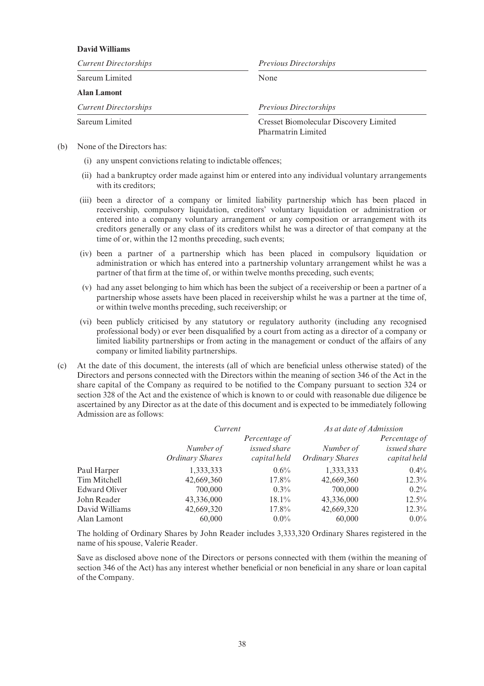# David Williams

| <b>Current Directorships</b> | <b>Previous Directorships</b>                                       |  |
|------------------------------|---------------------------------------------------------------------|--|
| Sareum Limited               | None                                                                |  |
| <b>Alan Lamont</b>           |                                                                     |  |
| <b>Current Directorships</b> | <b>Previous Directorships</b>                                       |  |
| Sareum Limited               | Cresset Biomolecular Discovery Limited<br><b>Pharmatrin Limited</b> |  |

- (b) None of the Directors has:
	- $(i)$  any unspent convictions relating to indictable offences;
	- (ii) had a bankruptcy order made against him or entered into any individual voluntary arrangements with its creditors;
	- (iii) been a director of a company or limited liability partnership which has been placed in receivership, compulsory liquidation, creditors' voluntary liquidation or administration or entered into a company voluntary arrangement or any composition or arrangement with its creditors generally or any class of its creditors whilst he was a director of that company at the time of or, within the 12 months preceding, such events;
	- (iv) been a partner of a partnership which has been placed in compulsory liquidation or administration or which has entered into a partnership voluntary arrangement whilst he was a partner of that firm at the time of, or within twelve months preceding, such events;
	- (v) had any asset belonging to him which has been the subject of a receivership or been a partner of a partnership whose assets have been placed in receivership whilst he was a partner at the time of, or within twelve months preceding, such receivership; or
	- (vi) been publicly criticised by any statutory or regulatory authority (including any recognised professional body) or ever been disqualified by a court from acting as a director of a company or limited liability partnerships or from acting in the management or conduct of the affairs of any company or limited liability partnerships.
- (c) At the date of this document, the interests (all of which are bene¢cial unless otherwise stated) of the Directors and persons connected with the Directors within the meaning of section 346 of the Act in the share capital of the Company as required to be notified to the Company pursuant to section 324 or section 328 of the Act and the existence of which is known to or could with reasonable due diligence be ascertained by any Director as at the date of this document and is expected to be immediately following Admission are as follows:

|                | Current                |              | As at date of Admission |               |
|----------------|------------------------|--------------|-------------------------|---------------|
|                | Percentage of          |              |                         | Percentage of |
|                | Number of              | issued share | Number of               | issued share  |
|                | <b>Ordinary Shares</b> | capital held | <b>Ordinary Shares</b>  | capital held  |
| Paul Harper    | 1,333,333              | $0.6\%$      | 1,333,333               | $0.4\%$       |
| Tim Mitchell   | 42,669,360             | 17.8%        | 42,669,360              | $12.3\%$      |
| Edward Oliver  | 700,000                | $0.3\%$      | 700,000                 | $0.2\%$       |
| John Reader    | 43,336,000             | $18.1\%$     | 43,336,000              | $12.5\%$      |
| David Williams | 42,669,320             | $17.8\%$     | 42,669,320              | $12.3\%$      |
| Alan Lamont    | 60,000                 | $0.0\%$      | 60,000                  | $0.0\%$       |

The holding of Ordinary Shares by John Reader includes 3,333,320 Ordinary Shares registered in the name of his spouse, Valerie Reader.

Save as disclosed above none of the Directors or persons connected with them (within the meaning of section 346 of the Act) has any interest whether beneficial or non beneficial in any share or loan capital of the Company.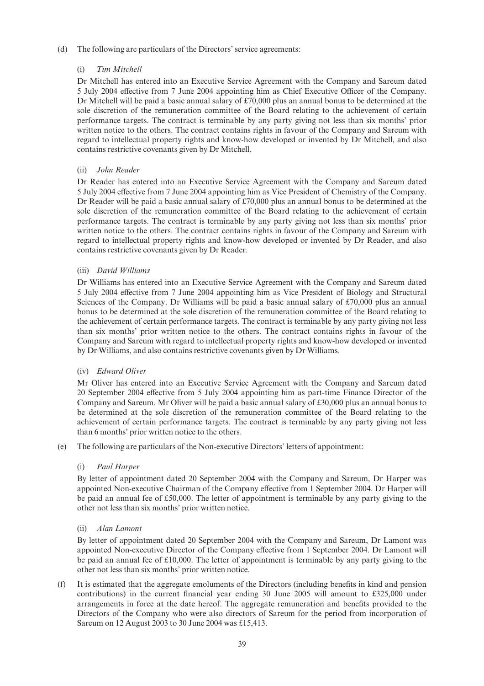# (d) The following are particulars of the Directors' service agreements:

# (i) Tim Mitchell

Dr Mitchell has entered into an Executive Service Agreement with the Company and Sareum dated 5 July 2004 effective from 7 June 2004 appointing him as Chief Executive Officer of the Company. Dr Mitchell will be paid a basic annual salary of  $\text{\pounds}70,000$  plus an annual bonus to be determined at the sole discretion of the remuneration committee of the Board relating to the achievement of certain performance targets. The contract is terminable by any party giving not less than six months' prior written notice to the others. The contract contains rights in favour of the Company and Sareum with regard to intellectual property rights and know-how developed or invented by Dr Mitchell, and also contains restrictive covenants given by Dr Mitchell.

# (ii) John Reader

Dr Reader has entered into an Executive Service Agreement with the Company and Sareum dated 5 July 2004 effective from 7 June 2004 appointing him as Vice President of Chemistry of the Company. Dr Reader will be paid a basic annual salary of  $£70,000$  plus an annual bonus to be determined at the sole discretion of the remuneration committee of the Board relating to the achievement of certain performance targets. The contract is terminable by any party giving not less than six months' prior written notice to the others. The contract contains rights in favour of the Company and Sareum with regard to intellectual property rights and know-how developed or invented by Dr Reader, and also contains restrictive covenants given by Dr Reader.

# (iii) David Williams

Dr Williams has entered into an Executive Service Agreement with the Company and Sareum dated 5 July 2004 effective from 7 June 2004 appointing him as Vice President of Biology and Structural Sciences of the Company. Dr Williams will be paid a basic annual salary of  $\text{\textsterling}70,000$  plus an annual bonus to be determined at the sole discretion of the remuneration committee of the Board relating to the achievement of certain performance targets. The contract is terminable by any party giving not less than six months' prior written notice to the others. The contract contains rights in favour of the Company and Sareum with regard to intellectual property rights and know-how developed or invented by Dr Williams, and also contains restrictive covenants given by Dr Williams.

#### (iv) Edward Oliver

Mr Oliver has entered into an Executive Service Agreement with the Company and Sareum dated 20 September 2004 effective from 5 July 2004 appointing him as part-time Finance Director of the Company and Sareum. Mr Oliver will be paid a basic annual salary of  $\text{\pounds}30,000$  plus an annual bonus to be determined at the sole discretion of the remuneration committee of the Board relating to the achievement of certain performance targets. The contract is terminable by any party giving not less than 6 months' prior written notice to the others.

(e) The following are particulars of the Non-executive Directors' letters of appointment:

#### (i) Paul Harper

By letter of appointment dated 20 September 2004 with the Company and Sareum, Dr Harper was appointed Non-executive Chairman of the Company effective from 1 September 2004. Dr Harper will be paid an annual fee of  $£50,000$ . The letter of appointment is terminable by any party giving to the other not less than six months' prior written notice.

# (ii) Alan Lamont

By letter of appointment dated 20 September 2004 with the Company and Sareum, Dr Lamont was appointed Non-executive Director of the Company effective from 1 September 2004. Dr Lamont will be paid an annual fee of  $\pounds10,000$ . The letter of appointment is terminable by any party giving to the other not less than six months' prior written notice.

(f) It is estimated that the aggregate emoluments of the Directors (including bene¢ts in kind and pension contributions) in the current financial year ending 30 June 2005 will amount to  $\text{\pounds}325,000$  under arrangements in force at the date hereof. The aggregate remuneration and benefits provided to the Directors of the Company who were also directors of Sareum for the period from incorporation of Sareum on 12 August 2003 to 30 June 2004 was £15,413.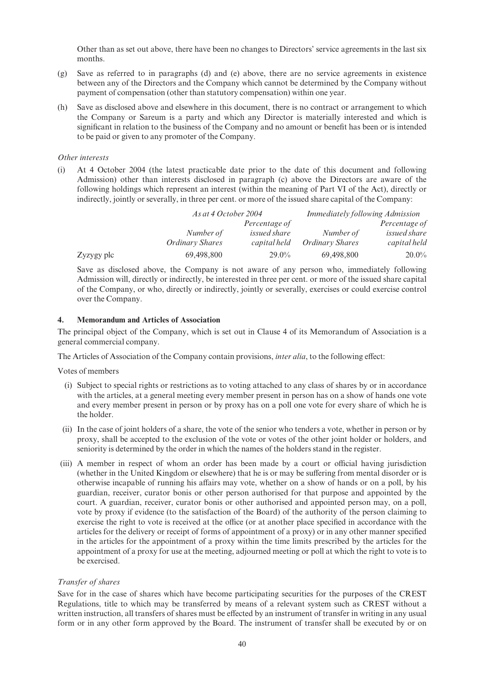Other than as set out above, there have been no changes to Directors' service agreements in the last six months.

- (g) Save as referred to in paragraphs (d) and (e) above, there are no service agreements in existence between any of the Directors and the Company which cannot be determined by the Company without payment of compensation (other than statutory compensation) within one year.
- (h) Save as disclosed above and elsewhere in this document, there is no contract or arrangement to which the Company or Sareum is a party and which any Director is materially interested and which is significant in relation to the business of the Company and no amount or benefit has been or is intended to be paid or given to any promoter of the Company.

## Other interests

(i) At 4 October 2004 (the latest practicable date prior to the date of this document and following Admission) other than interests disclosed in paragraph (c) above the Directors are aware of the following holdings which represent an interest (within the meaning of Part VI of the Act), directly or indirectly, jointly or severally, in three per cent. or more of the issued share capital of the Company:

|            |                 | As at 4 October 2004 |                 | <i>Immediately following Admission</i> |  |
|------------|-----------------|----------------------|-----------------|----------------------------------------|--|
|            |                 | Percentage of        |                 | Percentage of                          |  |
|            | Number of       | issued share         | Number of       | issued share                           |  |
|            | Ordinary Shares | capital held         | Ordinary Shares | capital held                           |  |
| Zyzygy plc | 69,498,800      | $29.0\%$             | 69,498,800      | $20.0\%$                               |  |

Save as disclosed above, the Company is not aware of any person who, immediately following Admission will, directly or indirectly, be interested in three per cent. or more of the issued share capital of the Company, or who, directly or indirectly, jointly or severally, exercises or could exercise control over the Company.

#### 4. Memorandum and Articles of Association

The principal object of the Company, which is set out in Clause 4 of its Memorandum of Association is a general commercial company.

The Articles of Association of the Company contain provisions, *inter alia*, to the following effect:

Votes of members

- (i) Subject to special rights or restrictions as to voting attached to any class of shares by or in accordance with the articles, at a general meeting every member present in person has on a show of hands one vote and every member present in person or by proxy has on a poll one vote for every share of which he is the holder.
- (ii) In the case of joint holders of a share, the vote of the senior who tenders a vote, whether in person or by proxy, shall be accepted to the exclusion of the vote or votes of the other joint holder or holders, and seniority is determined by the order in which the names of the holders stand in the register.
- (iii) A member in respect of whom an order has been made by a court or official having jurisdiction (whether in the United Kingdom or elsewhere) that he is or may be suffering from mental disorder or is otherwise incapable of running his affairs may vote, whether on a show of hands or on a poll, by his guardian, receiver, curator bonis or other person authorised for that purpose and appointed by the court. A guardian, receiver, curator bonis or other authorised and appointed person may, on a poll, vote by proxy if evidence (to the satisfaction of the Board) of the authority of the person claiming to exercise the right to vote is received at the office (or at another place specified in accordance with the articles for the delivery or receipt of forms of appointment of a proxy) or in any other manner specified in the articles for the appointment of a proxy within the time limits prescribed by the articles for the appointment of a proxy for use at the meeting, adjourned meeting or poll at which the right to vote is to be exercised.

#### Transfer of shares

Save for in the case of shares which have become participating securities for the purposes of the CREST Regulations, title to which may be transferred by means of a relevant system such as CREST without a written instruction, all transfers of shares must be effected by an instrument of transfer in writing in any usual form or in any other form approved by the Board. The instrument of transfer shall be executed by or on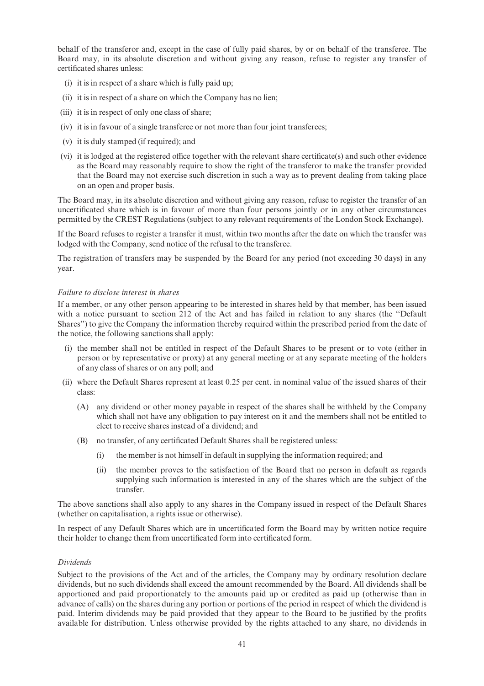behalf of the transferor and, except in the case of fully paid shares, by or on behalf of the transferee. The Board may, in its absolute discretion and without giving any reason, refuse to register any transfer of certificated shares unless:

- (i) it is in respect of a share which is fully paid up;
- (ii) it is in respect of a share on which the Company has no lien;
- (iii) it is in respect of only one class of share;
- (iv) it is in favour of a single transferee or not more than four joint transferees;
- (v) it is duly stamped (if required); and
- (vi) it is lodged at the registered office together with the relevant share certificate(s) and such other evidence as the Board may reasonably require to show the right of the transferor to make the transfer provided that the Board may not exercise such discretion in such a way as to prevent dealing from taking place on an open and proper basis.

The Board may, in its absolute discretion and without giving any reason, refuse to register the transfer of an uncertificated share which is in favour of more than four persons jointly or in any other circumstances permitted by the CREST Regulations (subject to any relevant requirements of the London Stock Exchange).

If the Board refuses to register a transfer it must, within two months after the date on which the transfer was lodged with the Company, send notice of the refusal to the transferee.

The registration of transfers may be suspended by the Board for any period (not exceeding 30 days) in any year.

#### Failure to disclose interest in shares

If a member, or any other person appearing to be interested in shares held by that member, has been issued with a notice pursuant to section 212 of the Act and has failed in relation to any shares (the ''Default Shares'') to give the Company the information thereby required within the prescribed period from the date of the notice, the following sanctions shall apply:

- (i) the member shall not be entitled in respect of the Default Shares to be present or to vote (either in person or by representative or proxy) at any general meeting or at any separate meeting of the holders of any class of shares or on any poll; and
- (ii) where the Default Shares represent at least 0.25 per cent. in nominal value of the issued shares of their class:
	- (A) any dividend or other money payable in respect of the shares shall be withheld by the Company which shall not have any obligation to pay interest on it and the members shall not be entitled to elect to receive shares instead of a dividend; and
	- (B) no transfer, of any certificated Default Shares shall be registered unless:
		- (i) the member is not himself in default in supplying the information required; and
		- (ii) the member proves to the satisfaction of the Board that no person in default as regards supplying such information is interested in any of the shares which are the subject of the transfer.

The above sanctions shall also apply to any shares in the Company issued in respect of the Default Shares (whether on capitalisation, a rights issue or otherwise).

In respect of any Default Shares which are in uncertificated form the Board may by written notice require their holder to change them from uncertificated form into certificated form.

#### Dividends

Subject to the provisions of the Act and of the articles, the Company may by ordinary resolution declare dividends, but no such dividends shall exceed the amount recommended by the Board. All dividends shall be apportioned and paid proportionately to the amounts paid up or credited as paid up (otherwise than in advance of calls) on the shares during any portion or portions of the period in respect of which the dividend is paid. Interim dividends may be paid provided that they appear to the Board to be justified by the profits available for distribution. Unless otherwise provided by the rights attached to any share, no dividends in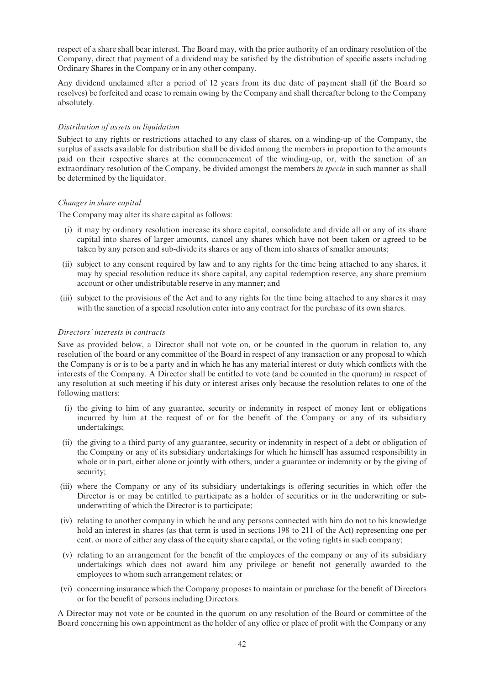respect of a share shall bear interest. The Board may, with the prior authority of an ordinary resolution of the Company, direct that payment of a dividend may be satisfied by the distribution of specific assets including Ordinary Shares in the Company or in any other company.

Any dividend unclaimed after a period of 12 years from its due date of payment shall (if the Board so resolves) be forfeited and cease to remain owing by the Company and shall thereafter belong to the Company absolutely.

# Distribution of assets on liquidation

Subject to any rights or restrictions attached to any class of shares, on a winding-up of the Company, the surplus of assets available for distribution shall be divided among the members in proportion to the amounts paid on their respective shares at the commencement of the winding-up, or, with the sanction of an extraordinary resolution of the Company, be divided amongst the members *in specie* in such manner as shall be determined by the liquidator.

# Changes in share capital

The Company may alter its share capital as follows:

- (i) it may by ordinary resolution increase its share capital, consolidate and divide all or any of its share capital into shares of larger amounts, cancel any shares which have not been taken or agreed to be taken by any person and sub-divide its shares or any of them into shares of smaller amounts;
- (ii) subject to any consent required by law and to any rights for the time being attached to any shares, it may by special resolution reduce its share capital, any capital redemption reserve, any share premium account or other undistributable reserve in any manner; and
- (iii) subject to the provisions of the Act and to any rights for the time being attached to any shares it may with the sanction of a special resolution enter into any contract for the purchase of its own shares.

#### Directors' interests in contracts

Save as provided below, a Director shall not vote on, or be counted in the quorum in relation to, any resolution of the board or any committee of the Board in respect of any transaction or any proposal to which the Company is or is to be a party and in which he has any material interest or duty which conflicts with the interests of the Company. A Director shall be entitled to vote (and be counted in the quorum) in respect of any resolution at such meeting if his duty or interest arises only because the resolution relates to one of the following matters:

- (i) the giving to him of any guarantee, security or indemnity in respect of money lent or obligations incurred by him at the request of or for the benefit of the Company or any of its subsidiary undertakings;
- (ii) the giving to a third party of any guarantee, security or indemnity in respect of a debt or obligation of the Company or any of its subsidiary undertakings for which he himself has assumed responsibility in whole or in part, either alone or jointly with others, under a guarantee or indemnity or by the giving of security;
- (iii) where the Company or any of its subsidiary undertakings is offering securities in which offer the Director is or may be entitled to participate as a holder of securities or in the underwriting or subunderwriting of which the Director is to participate;
- (iv) relating to another company in which he and any persons connected with him do not to his knowledge hold an interest in shares (as that term is used in sections 198 to 211 of the Act) representing one per cent. or more of either any class of the equity share capital, or the voting rights in such company;
- (v) relating to an arrangement for the bene¢t of the employees of the company or any of its subsidiary undertakings which does not award him any privilege or benefit not generally awarded to the employees to whom such arrangement relates; or
- (vi) concerning insurance which the Company proposes to maintain or purchase for the bene¢t of Directors or for the bene¢t of persons including Directors.

A Director may not vote or be counted in the quorum on any resolution of the Board or committee of the Board concerning his own appointment as the holder of any office or place of profit with the Company or any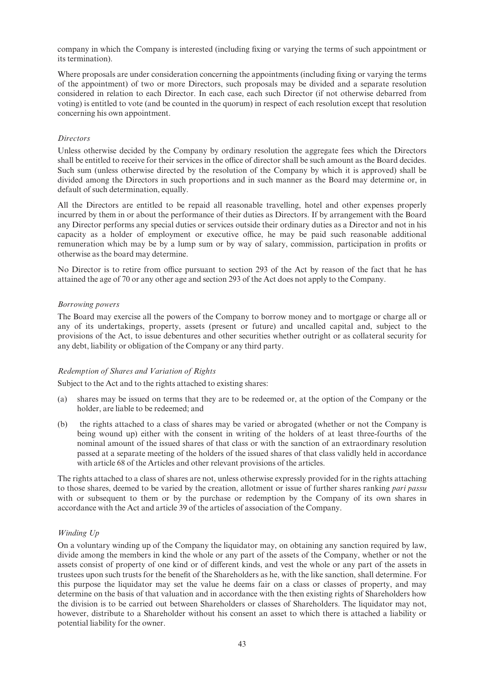company in which the Company is interested (including fixing or varying the terms of such appointment or its termination).

Where proposals are under consideration concerning the appointments (including fixing or varying the terms of the appointment) of two or more Directors, such proposals may be divided and a separate resolution considered in relation to each Director. In each case, each such Director (if not otherwise debarred from voting) is entitled to vote (and be counted in the quorum) in respect of each resolution except that resolution concerning his own appointment.

## **Directors**

Unless otherwise decided by the Company by ordinary resolution the aggregate fees which the Directors shall be entitled to receive for their services in the office of director shall be such amount as the Board decides. Such sum (unless otherwise directed by the resolution of the Company by which it is approved) shall be divided among the Directors in such proportions and in such manner as the Board may determine or, in default of such determination, equally.

All the Directors are entitled to be repaid all reasonable travelling, hotel and other expenses properly incurred by them in or about the performance of their duties as Directors. If by arrangement with the Board any Director performs any special duties or services outside their ordinary duties as a Director and not in his capacity as a holder of employment or executive office, he may be paid such reasonable additional remuneration which may be by a lump sum or by way of salary, commission, participation in profits or otherwise as the board may determine.

No Director is to retire from office pursuant to section 293 of the Act by reason of the fact that he has attained the age of 70 or any other age and section 293 of the Act does not apply to the Company.

# Borrowing powers

The Board may exercise all the powers of the Company to borrow money and to mortgage or charge all or any of its undertakings, property, assets (present or future) and uncalled capital and, subject to the provisions of the Act, to issue debentures and other securities whether outright or as collateral security for any debt, liability or obligation of the Company or any third party.

# Redemption of Shares and Variation of Rights

Subject to the Act and to the rights attached to existing shares:

- (a) shares may be issued on terms that they are to be redeemed or, at the option of the Company or the holder, are liable to be redeemed; and
- (b) the rights attached to a class of shares may be varied or abrogated (whether or not the Company is being wound up) either with the consent in writing of the holders of at least three-fourths of the nominal amount of the issued shares of that class or with the sanction of an extraordinary resolution passed at a separate meeting of the holders of the issued shares of that class validly held in accordance with article 68 of the Articles and other relevant provisions of the articles.

The rights attached to a class of shares are not, unless otherwise expressly provided for in the rights attaching to those shares, deemed to be varied by the creation, allotment or issue of further shares ranking *pari passu* with or subsequent to them or by the purchase or redemption by the Company of its own shares in accordance with the Act and article 39 of the articles of association of the Company.

# Winding Up

On a voluntary winding up of the Company the liquidator may, on obtaining any sanction required by law, divide among the members in kind the whole or any part of the assets of the Company, whether or not the assets consist of property of one kind or of different kinds, and vest the whole or any part of the assets in trustees upon such trusts for the benefit of the Shareholders as he, with the like sanction, shall determine. For this purpose the liquidator may set the value he deems fair on a class or classes of property, and may determine on the basis of that valuation and in accordance with the then existing rights of Shareholders how the division is to be carried out between Shareholders or classes of Shareholders. The liquidator may not, however, distribute to a Shareholder without his consent an asset to which there is attached a liability or potential liability for the owner.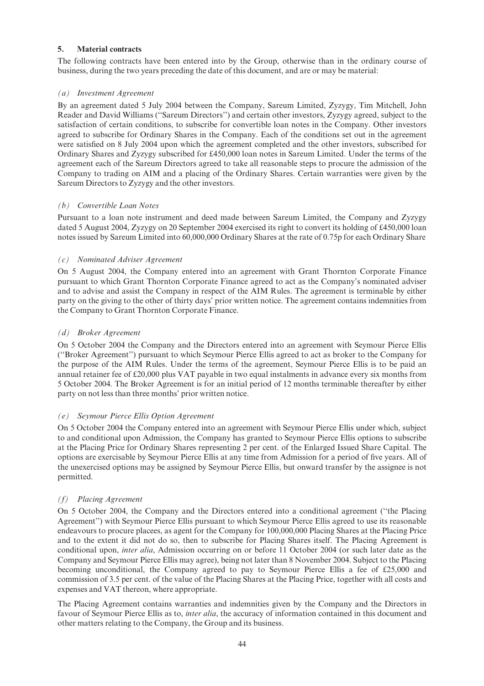# 5. Material contracts

The following contracts have been entered into by the Group, otherwise than in the ordinary course of business, during the two years preceding the date of this document, and are or may be material:

# (a) Investment Agreement

By an agreement dated 5 July 2004 between the Company, Sareum Limited, Zyzygy, Tim Mitchell, John Reader and David Williams (''Sareum Directors'') and certain other investors, Zyzygy agreed, subject to the satisfaction of certain conditions, to subscribe for convertible loan notes in the Company. Other investors agreed to subscribe for Ordinary Shares in the Company. Each of the conditions set out in the agreement were satisfied on 8 July 2004 upon which the agreement completed and the other investors, subscribed for Ordinary Shares and Zyzygy subscribed for £450,000 loan notes in Sareum Limited. Under the terms of the agreement each of the Sareum Directors agreed to take all reasonable steps to procure the admission of the Company to trading on AIM and a placing of the Ordinary Shares. Certain warranties were given by the Sareum Directors to Zyzygy and the other investors.

#### (b) Convertible Loan Notes

Pursuant to a loan note instrument and deed made between Sareum Limited, the Company and Zyzygy dated 5 August 2004, Zyzygy on 20 September 2004 exercised its right to convert its holding of £450,000 loan notes issued by Sareum Limited into 60,000,000 Ordinary Shares at the rate of 0.75p for each Ordinary Share

# (c) Nominated Adviser Agreement

On 5 August 2004, the Company entered into an agreement with Grant Thornton Corporate Finance pursuant to which Grant Thornton Corporate Finance agreed to act as the Company's nominated adviser and to advise and assist the Company in respect of the AIM Rules. The agreement is terminable by either party on the giving to the other of thirty days' prior written notice. The agreement contains indemnities from the Company to Grant Thornton Corporate Finance.

# (d) Broker Agreement

On 5 October 2004 the Company and the Directors entered into an agreement with Seymour Pierce Ellis (''Broker Agreement'') pursuant to which Seymour Pierce Ellis agreed to act as broker to the Company for the purpose of the AIM Rules. Under the terms of the agreement, Seymour Pierce Ellis is to be paid an annual retainer fee of  $\text{\pounds}20,000$  plus VAT payable in two equal instalments in advance every six months from 5 October 2004. The Broker Agreement is for an initial period of 12 months terminable thereafter by either party on not less than three months' prior written notice.

# (e) Seymour Pierce Ellis Option Agreement

On 5 October 2004 the Company entered into an agreement with Seymour Pierce Ellis under which, subject to and conditional upon Admission, the Company has granted to Seymour Pierce Ellis options to subscribe at the Placing Price for Ordinary Shares representing 2 per cent. of the Enlarged Issued Share Capital. The options are exercisable by Seymour Pierce Ellis at any time from Admission for a period of five years. All of the unexercised options may be assigned by Seymour Pierce Ellis, but onward transfer by the assignee is not permitted.

# (f) Placing Agreement

On 5 October 2004, the Company and the Directors entered into a conditional agreement (''the Placing Agreement'') with Seymour Pierce Ellis pursuant to which Seymour Pierce Ellis agreed to use its reasonable endeavours to procure placees, as agent for the Company for 100,000,000 Placing Shares at the Placing Price and to the extent it did not do so, then to subscribe for Placing Shares itself. The Placing Agreement is conditional upon, inter alia, Admission occurring on or before 11 October 2004 (or such later date as the Company and Seymour Pierce Ellis may agree), being not later than 8 November 2004. Subject to the Placing becoming unconditional, the Company agreed to pay to Seymour Pierce Ellis a fee of  $£25,000$  and commission of 3.5 per cent. of the value of the Placing Shares at the Placing Price, together with all costs and expenses and VAT thereon, where appropriate.

The Placing Agreement contains warranties and indemnities given by the Company and the Directors in favour of Seymour Pierce Ellis as to, *inter alia*, the accuracy of information contained in this document and other matters relating to the Company, the Group and its business.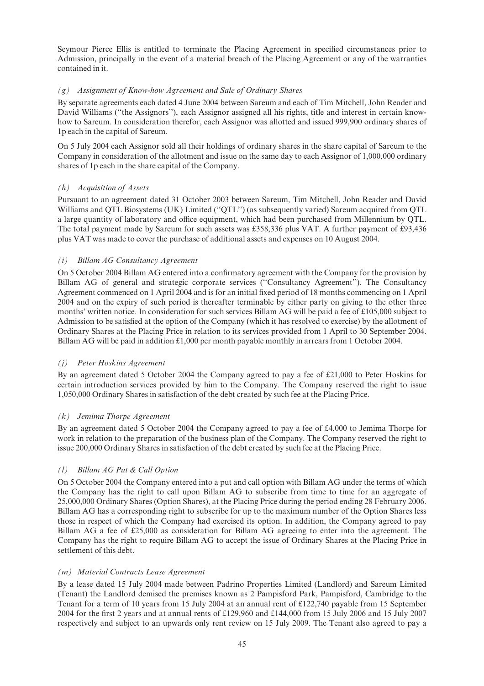Seymour Pierce Ellis is entitled to terminate the Placing Agreement in specified circumstances prior to Admission, principally in the event of a material breach of the Placing Agreement or any of the warranties contained in it.

# (g) Assignment of Know-how Agreement and Sale of Ordinary Shares

By separate agreements each dated 4 June 2004 between Sareum and each of Tim Mitchell, John Reader and David Williams (''the Assignors''), each Assignor assigned all his rights, title and interest in certain knowhow to Sareum. In consideration therefor, each Assignor was allotted and issued 999,900 ordinary shares of 1p each in the capital of Sareum.

On 5 July 2004 each Assignor sold all their holdings of ordinary shares in the share capital of Sareum to the Company in consideration of the allotment and issue on the same day to each Assignor of 1,000,000 ordinary shares of 1p each in the share capital of the Company.

# (h) Acquisition of Assets

Pursuant to an agreement dated 31 October 2003 between Sareum, Tim Mitchell, John Reader and David Williams and QTL Biosystems (UK) Limited (''QTL'') (as subsequently varied) Sareum acquired from QTL a large quantity of laboratory and office equipment, which had been purchased from Millennium by OTL. The total payment made by Sareum for such assets was  $\text{\textsterling}358,336$  plus VAT. A further payment of £93,436 plus VAT was made to cover the purchase of additional assets and expenses on 10 August 2004.

# (i) Billam AG Consultancy Agreement

On 5 October 2004 Billam AG entered into a confirmatory agreement with the Company for the provision by Billam AG of general and strategic corporate services (''Consultancy Agreement''). The Consultancy Agreement commenced on 1 April 2004 and is for an initial fixed period of 18 months commencing on 1 April 2004 and on the expiry of such period is thereafter terminable by either party on giving to the other three months' written notice. In consideration for such services Billam AG will be paid a fee of  $\text{\pounds}105,000$  subject to Admission to be satisfied at the option of the Company (which it has resolved to exercise) by the allotment of Ordinary Shares at the Placing Price in relation to its services provided from 1 April to 30 September 2004. Billam AG will be paid in addition  $\text{\pounds}1,000$  per month payable monthly in arrears from 1 October 2004.

#### (j) Peter Hoskins Agreement

By an agreement dated 5 October 2004 the Company agreed to pay a fee of  $\text{\pounds}21,000$  to Peter Hoskins for certain introduction services provided by him to the Company. The Company reserved the right to issue 1,050,000 Ordinary Shares in satisfaction of the debt created by such fee at the Placing Price.

# (k) Jemima Thorpe Agreement

By an agreement dated 5 October 2004 the Company agreed to pay a fee of £4,000 to Jemima Thorpe for work in relation to the preparation of the business plan of the Company. The Company reserved the right to issue 200,000 Ordinary Shares in satisfaction of the debt created by such fee at the Placing Price.

# (l) Billam AG Put & Call Option

On 5 October 2004 the Company entered into a put and call option with Billam AG under the terms of which the Company has the right to call upon Billam AG to subscribe from time to time for an aggregate of 25,000,000 Ordinary Shares (Option Shares), at the Placing Price during the period ending 28 February 2006. Billam AG has a corresponding right to subscribe for up to the maximum number of the Option Shares less those in respect of which the Company had exercised its option. In addition, the Company agreed to pay Billam AG a fee of  $£25,000$  as consideration for Billam AG agreeing to enter into the agreement. The Company has the right to require Billam AG to accept the issue of Ordinary Shares at the Placing Price in settlement of this debt.

#### (m) Material Contracts Lease Agreement

By a lease dated 15 July 2004 made between Padrino Properties Limited (Landlord) and Sareum Limited (Tenant) the Landlord demised the premises known as 2 Pampisford Park, Pampisford, Cambridge to the Tenant for a term of 10 years from 15 July 2004 at an annual rent of  $\text{\pounds}122,740$  payable from 15 September 2004 for the first 2 years and at annual rents of  $£129,960$  and  $£144,000$  from 15 July 2006 and 15 July 2007 respectively and subject to an upwards only rent review on 15 July 2009. The Tenant also agreed to pay a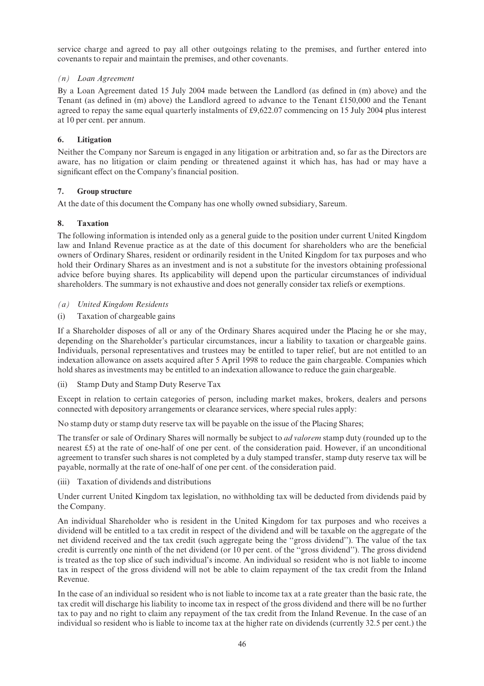service charge and agreed to pay all other outgoings relating to the premises, and further entered into covenants to repair and maintain the premises, and other covenants.

# (n) Loan Agreement

By a Loan Agreement dated 15 July 2004 made between the Landlord (as defined in (m) above) and the Tenant (as defined in (m) above) the Landlord agreed to advance to the Tenant  $\pounds150,000$  and the Tenant agreed to repay the same equal quarterly instalments of  $\text{\pounds}9,622.07$  commencing on 15 July 2004 plus interest at 10 per cent. per annum.

# 6. Litigation

Neither the Company nor Sareum is engaged in any litigation or arbitration and, so far as the Directors are aware, has no litigation or claim pending or threatened against it which has, has had or may have a significant effect on the Company's financial position.

# 7. Group structure

At the date of this document the Company has one wholly owned subsidiary, Sareum.

# 8. Taxation

The following information is intended only as a general guide to the position under current United Kingdom law and Inland Revenue practice as at the date of this document for shareholders who are the beneficial owners of Ordinary Shares, resident or ordinarily resident in the United Kingdom for tax purposes and who hold their Ordinary Shares as an investment and is not a substitute for the investors obtaining professional advice before buying shares. Its applicability will depend upon the particular circumstances of individual shareholders. The summary is not exhaustive and does not generally consider tax reliefs or exemptions.

- (a) United Kingdom Residents
- (i) Taxation of chargeable gains

If a Shareholder disposes of all or any of the Ordinary Shares acquired under the Placing he or she may, depending on the Shareholder's particular circumstances, incur a liability to taxation or chargeable gains. Individuals, personal representatives and trustees may be entitled to taper relief, but are not entitled to an indexation allowance on assets acquired after 5 April 1998 to reduce the gain chargeable. Companies which hold shares as investments may be entitled to an indexation allowance to reduce the gain chargeable.

(ii) Stamp Duty and Stamp Duty Reserve Tax

Except in relation to certain categories of person, including market makes, brokers, dealers and persons connected with depository arrangements or clearance services, where special rules apply:

No stamp duty or stamp duty reserve tax will be payable on the issue of the Placing Shares;

The transfer or sale of Ordinary Shares will normally be subject to *ad valorem* stamp duty (rounded up to the nearest  $\pounds$ 5) at the rate of one-half of one per cent. of the consideration paid. However, if an unconditional agreement to transfer such shares is not completed by a duly stamped transfer, stamp duty reserve tax will be payable, normally at the rate of one-half of one per cent. of the consideration paid.

(iii) Taxation of dividends and distributions

Under current United Kingdom tax legislation, no withholding tax will be deducted from dividends paid by the Company.

An individual Shareholder who is resident in the United Kingdom for tax purposes and who receives a dividend will be entitled to a tax credit in respect of the dividend and will be taxable on the aggregate of the net dividend received and the tax credit (such aggregate being the ''gross dividend''). The value of the tax credit is currently one ninth of the net dividend (or 10 per cent. of the ''gross dividend''). The gross dividend is treated as the top slice of such individual's income. An individual so resident who is not liable to income tax in respect of the gross dividend will not be able to claim repayment of the tax credit from the Inland Revenue.

In the case of an individual so resident who is not liable to income tax at a rate greater than the basic rate, the tax credit will discharge his liability to income tax in respect of the gross dividend and there will be no further tax to pay and no right to claim any repayment of the tax credit from the Inland Revenue. In the case of an individual so resident who is liable to income tax at the higher rate on dividends (currently 32.5 per cent.) the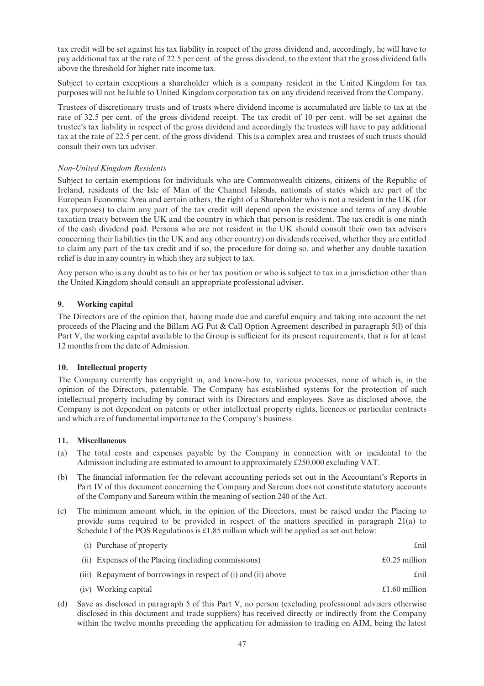tax credit will be set against his tax liability in respect of the gross dividend and, accordingly, he will have to pay additional tax at the rate of 22.5 per cent. of the gross dividend, to the extent that the gross dividend falls above the threshold for higher rate income tax.

Subject to certain exceptions a shareholder which is a company resident in the United Kingdom for tax purposes will not be liable to United Kingdom corporation tax on any dividend received from the Company.

Trustees of discretionary trusts and of trusts where dividend income is accumulated are liable to tax at the rate of 32.5 per cent. of the gross dividend receipt. The tax credit of 10 per cent. will be set against the trustee's tax liability in respect of the gross dividend and accordingly the trustees will have to pay additional tax at the rate of 22.5 per cent. of the gross dividend. This is a complex area and trustees of such trusts should consult their own tax adviser.

# Non-United Kingdom Residents

Subject to certain exemptions for individuals who are Commonwealth citizens, citizens of the Republic of Ireland, residents of the Isle of Man of the Channel Islands, nationals of states which are part of the European Economic Area and certain others, the right of a Shareholder who is not a resident in the UK (for tax purposes) to claim any part of the tax credit will depend upon the existence and terms of any double taxation treaty between the UK and the country in which that person is resident. The tax credit is one ninth of the cash dividend paid. Persons who are not resident in the UK should consult their own tax advisers concerning their liabilities (in the UK and any other country) on dividends received, whether they are entitled to claim any part of the tax credit and if so, the procedure for doing so, and whether any double taxation relief is due in any country in which they are subject to tax.

Any person who is any doubt as to his or her tax position or who is subject to tax in a jurisdiction other than the United Kingdom should consult an appropriate professional adviser.

# 9. Working capital

The Directors are of the opinion that, having made due and careful enquiry and taking into account the net proceeds of the Placing and the Billam AG Put & Call Option Agreement described in paragraph 5(l) of this Part V, the working capital available to the Group is sufficient for its present requirements, that is for at least 12 months from the date of Admission.

#### 10. Intellectual property

The Company currently has copyright in, and know-how to, various processes, none of which is, in the opinion of the Directors, patentable. The Company has established systems for the protection of such intellectual property including by contract with its Directors and employees. Save as disclosed above, the Company is not dependent on patents or other intellectual property rights, licences or particular contracts and which are of fundamental importance to the Company's business.

#### 11. Miscellaneous

- (a) The total costs and expenses payable by the Company in connection with or incidental to the Admission including are estimated to amount to approximately  $£250,000$  excluding VAT.
- (b) The financial information for the relevant accounting periods set out in the Accountant's Reports in Part IV of this document concerning the Company and Sareum does not constitute statutory accounts of the Company and Sareum within the meaning of section 240 of the Act.
- (c) The minimum amount which, in the opinion of the Directors, must be raised under the Placing to provide sums required to be provided in respect of the matters specified in paragraph  $21(a)$  to Schedule I of the POS Regulations is  $£1.85$  million which will be applied as set out below:

| (i) Purchase of property                                       | £nil                   |
|----------------------------------------------------------------|------------------------|
| (ii) Expenses of the Placing (including commissions)           | $\pounds$ 0.25 million |
| (iii) Repayment of borrowings in respect of (i) and (ii) above | £nil                   |
| (iv) Working capital                                           | £1.60 million          |

(d) Save as disclosed in paragraph 5 of this Part V, no person (excluding professional advisers otherwise disclosed in this document and trade suppliers) has received directly or indirectly from the Company within the twelve months preceding the application for admission to trading on AIM, being the latest